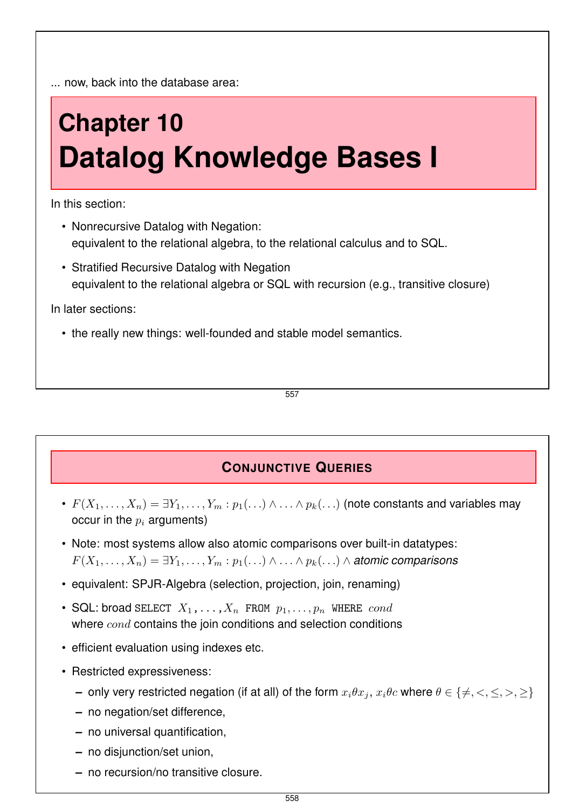... now, back into the database area:

# **Chapter 10 Datalog Knowledge Bases I**

In this section:

- Nonrecursive Datalog with Negation: equivalent to the relational algebra, to the relational calculus and to SQL.
- Stratified Recursive Datalog with Negation equivalent to the relational algebra or SQL with recursion (e.g., transitive closure)

In later sections:

• the really new things: well-founded and stable model semantics.

557

## **CONJUNCTIVE QUERIES**

- $F(X_1,\ldots,X_n)=\exists Y_1,\ldots,Y_m:p_1(\ldots)\wedge\ldots\wedge p_k(\ldots)$  (note constants and variables may occur in the  $p_i$  arguments)
- Note: most systems allow also atomic comparisons over built-in datatypes:  $F(X_1, \ldots, X_n) = \exists Y_1, \ldots, Y_m : p_1(\ldots) \wedge \ldots \wedge p_k(\ldots) \wedge$  *atomic comparisons*
- equivalent: SPJR-Algebra (selection, projection, join, renaming)
- SQL: broad SELECT  $X_1, \ldots, X_n$  FROM  $p_1, \ldots, p_n$  WHERE cond where  $cond$  contains the join conditions and selection conditions
- efficient evaluation using indexes etc.
- Restricted expressiveness:
	- **–** only very restricted negation (if at all) of the form  $x_i \theta x_j$ ,  $x_i \theta c$  where  $\theta \in \{\neq, <, \leq, >, \geq\}$
	- **–** no negation/set difference,
	- **–** no universal quantification,
	- **–** no disjunction/set union,
	- **–** no recursion/no transitive closure.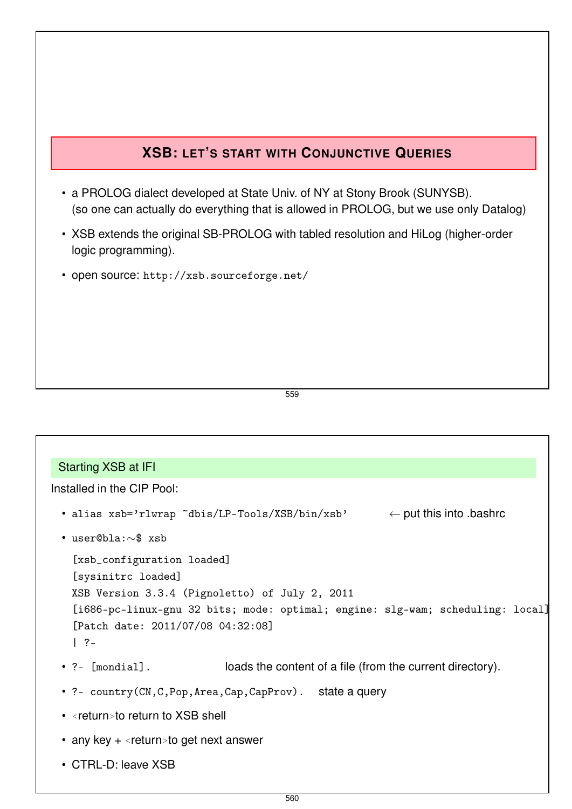## **XSB: LET'S START WITH CONJUNCTIVE QUERIES**

- a PROLOG dialect developed at State Univ. of NY at Stony Brook (SUNYSB). (so one can actually do everything that is allowed in PROLOG, but we use only Datalog)
- XSB extends the original SB-PROLOG with tabled resolution and HiLog (higher-order logic programming).
- open source: http://xsb.sourceforge.net/

559

#### Starting XSB at IFI

Installed in the CIP Pool:

- alias  $xsb='rlurap 'dbis/LP-Tools/XSB/bin/xsb'  $\leftarrow$  put this into bashrc$
- user@bla:∼\$ xsb

```
[xsb_configuration loaded]
[sysinitrc loaded]
XSB Version 3.3.4 (Pignoletto) of July 2, 2011
[i686-pc-linux-gnu 32 bits; mode: optimal; engine: slg-wam; scheduling: local]
[Patch date: 2011/07/08 04:32:08]
| ?-
```
- ?- [mondial]. loads the content of a file (from the current directory).
- ?- country(CN,C,Pop,Area,Cap,CapProv). state a query
- <return>to return to XSB shell
- any key + <return>to get next answer
- CTRL-D: leave XSB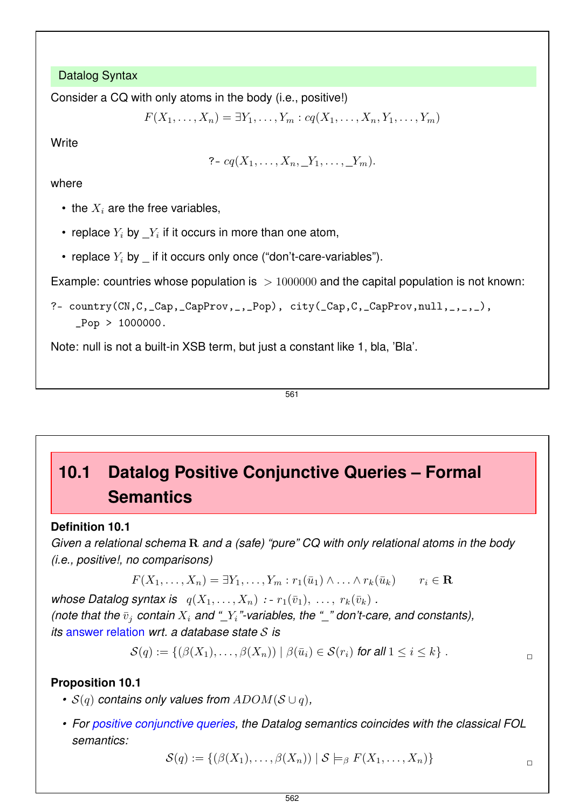Datalog Syntax

Consider a CQ with only atoms in the body (i.e., positive!)

 $F(X_1, \ldots, X_n) = \exists Y_1, \ldots, Y_m : cq(X_1, \ldots, X_n, Y_1, \ldots, Y_m)$ 

**Write** 

?-  $cq(X_1, \ldots, X_n, Y_1, \ldots, Y_m).$ 

where

- the  $X_i$  are the free variables,
- replace  $Y_i$  by  $\_Y_i$  if it occurs in more than one atom,
- replace  $Y_i$  by if it occurs only once ("don't-care-variables").

Example: countries whose population is  $> 1000000$  and the capital population is not known:

?- country(CN,C,\_Cap,\_CapProv,\_,\_Pop), city(\_Cap,C,\_CapProv,null,\_,\_,\_),  $Pop > 1000000$ .

Note: null is not a built-in XSB term, but just a constant like 1, bla, 'Bla'.

561

# **10.1 Datalog Positive Conjunctive Queries – Formal Semantics**

## **Definition 10.1**

*Given a relational schema* R *and a (safe) "pure" CQ with only relational atoms in the body (i.e., positive!, no comparisons)*

$$
F(X_1,\ldots,X_n)=\exists Y_1,\ldots,Y_m:r_1(\bar{u}_1)\wedge\ldots\wedge r_k(\bar{u}_k)\qquad r_i\in\mathbf{R}
$$

*whose Datalog syntax is*  $q(X_1, \ldots, X_n) : r_1(\bar{v}_1), \ldots, r_k(\bar{v}_k)$ . *(note that the*  $\bar{v}_i$  *contain*  $X_i$  *and*  $''_i$ <sup>*"*</sup>-variables, the  $''_i$  don't-care, and constants), *its* answer relation *wrt. a database state* S *is*

$$
\mathcal{S}(q) := \{ (\beta(X_1), \ldots, \beta(X_n)) \mid \beta(\bar{u}_i) \in \mathcal{S}(r_i) \text{ for all } 1 \leq i \leq k \} .
$$

## **Proposition 10.1**

- *•* S(q) *contains only values from* ADOM(S ∪ q)*,*
- *For positive conjunctive queries, the Datalog semantics coincides with the classical FOL semantics:*

$$
\mathcal{S}(q) := \{ (\beta(X_1), \ldots, \beta(X_n)) \mid \mathcal{S} \models_{\beta} F(X_1, \ldots, X_n) \}
$$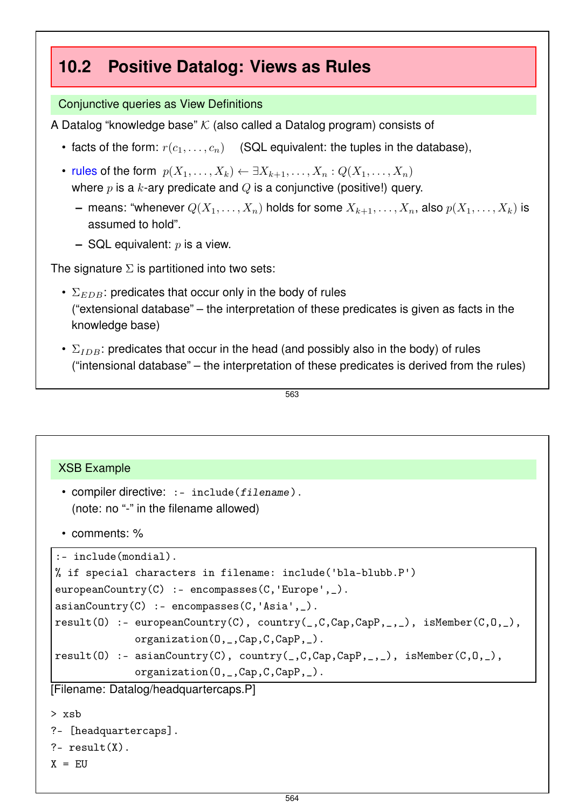## **10.2 Positive Datalog: Views as Rules**

## Conjunctive queries as View Definitions

A Datalog "knowledge base"  $K$  (also called a Datalog program) consists of

- facts of the form:  $r(c_1, \ldots, c_n)$  (SQL equivalent: the tuples in the database),
- rules of the form  $p(X_1, \ldots, X_k) \leftarrow \exists X_{k+1}, \ldots, X_n : Q(X_1, \ldots, X_n)$ where  $p$  is a k-ary predicate and  $Q$  is a conjunctive (positive!) query.
	- **–** means: "whenever  $Q(X_1, \ldots, X_n)$  holds for some  $X_{k+1}, \ldots, X_n$ , also  $p(X_1, \ldots, X_k)$  is assumed to hold".
	- **–** SQL equivalent: p is a view.

The signature  $\Sigma$  is partitioned into two sets:

- $\Sigma_{EDB}$ : predicates that occur only in the body of rules ("extensional database" – the interpretation of these predicates is given as facts in the knowledge base)
- $\Sigma_{IDB}$ : predicates that occur in the head (and possibly also in the body) of rules ("intensional database" – the interpretation of these predicates is derived from the rules)

```
563
```
## XSB Example

```
• compiler directive: : - include(filename).
 (note: no "-" in the filename allowed)
```
• comments: %

```
:- include(mondial).
```

```
% if special characters in filename: include('bla-blubb.P')
\text{europeanCountry}(C) :- encompasses(C, 'Europe', _-).
asianCountry(C) :- encompasses(C,'Asia',_).
result(0) :- europeanCountry(C), country(_,C,Cap,CapP,_,_), isMember(C,O,_),
              organization(O,_,Cap,C,CapP,_).
result(0) :- asianCountry(C), country(0, Cap, Cap, Cap), ...), isMember(C, 0, _),organization(O,_,Cap,C,CapP,_).
[Filename: Datalog/headquartercaps.P]
> xsb
```

```
?- [headquartercaps].
```

```
?- result(X).
```

```
X = EU
```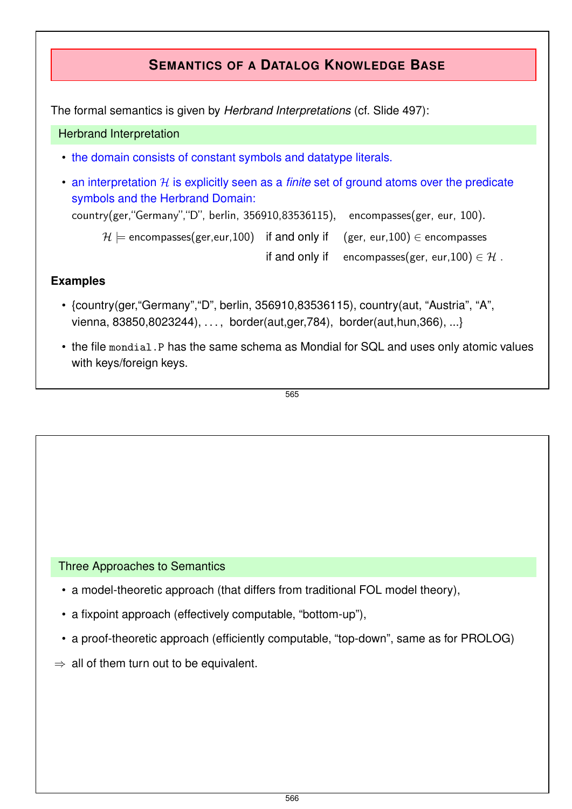

- vienna, 83850,8023244), . . . , border(aut,ger,784), border(aut,hun,366), ...}
- the file mondial.P has the same schema as Mondial for SQL and uses only atomic values with keys/foreign keys.

565

### Three Approaches to Semantics

- a model-theoretic approach (that differs from traditional FOL model theory),
- a fixpoint approach (effectively computable, "bottom-up"),
- a proof-theoretic approach (efficiently computable, "top-down", same as for PROLOG)
- $\Rightarrow$  all of them turn out to be equivalent.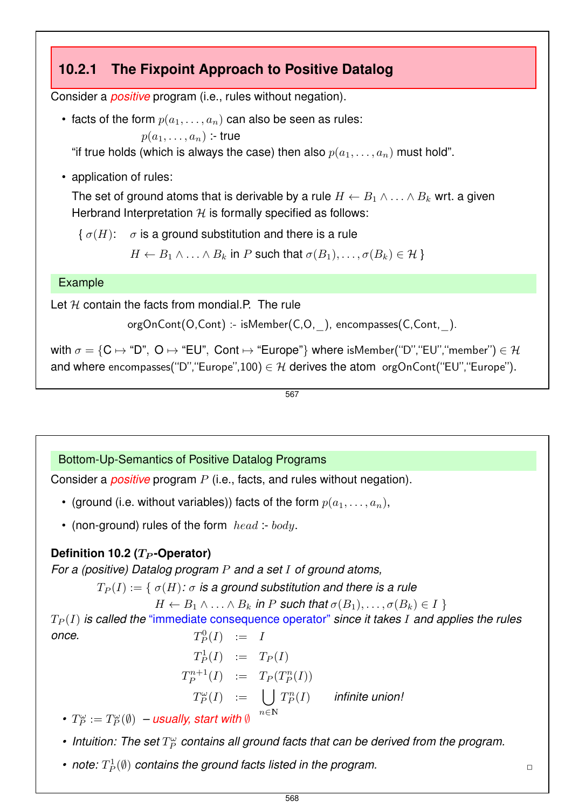## **10.2.1 The Fixpoint Approach to Positive Datalog**

Consider a *positive* program (i.e., rules without negation).

• facts of the form  $p(a_1, \ldots, a_n)$  can also be seen as rules:

 $p(a_1, \ldots, a_n)$  :- true

"if true holds (which is always the case) then also  $p(a_1, \ldots, a_n)$  must hold".

• application of rules:

The set of ground atoms that is derivable by a rule  $H \leftarrow B_1 \wedge \ldots \wedge B_k$  wrt. a given Herbrand Interpretation  $H$  is formally specified as follows:

 $\{\sigma(H): \sigma$  is a ground substitution and there is a rule

 $H \leftarrow B_1 \wedge \ldots \wedge B_k$  in P such that  $\sigma(B_1), \ldots, \sigma(B_k) \in \mathcal{H}$ 

## Example

Let  $H$  contain the facts from mondial.P. The rule

```
orgOnCont(O,Cont) :- isMember(C,O,_), encompasses(C,Cont,_).
```
with  $\sigma = \{C \mapsto D^n, O \mapsto F'$ EU", Cont  $\mapsto F'$ Europe"} where isMember("D", "EU", "member")  $\in \mathcal{H}$ and where encompasses("D", "Europe", 100)  $\in \mathcal{H}$  derives the atom orgOnCont("EU", "Europe").

567

## Bottom-Up-Semantics of Positive Datalog Programs

Consider a *positive* program P (i.e., facts, and rules without negation).

- (ground (i.e. without variables)) facts of the form  $p(a_1, \ldots, a_n)$ ,
- (non-ground) rules of the form  $head: body$ .

## **Definition 10.2 (T<sub>P</sub>-Operator)**

*For a (positive) Datalog program* P *and a set* I *of ground atoms,*

 $T_P(I) := \{ \sigma(H) : \sigma$  is a ground substitution and there is a rule

 $H \leftarrow B_1 \wedge \ldots \wedge B_k$  in P such that  $\sigma(B_1), \ldots, \sigma(B_k) \in I$ 

 $T_P(I)$  *is called the "immediate consequence operator" since it takes I and applies the rules* once.  $D_P^0(I) = I$ 

 $T_P^1(I)$  :=  $T_P(I)$  $T_P^{n+1}$  $T_P^{n+1}(I) \quad := \quad T_P(T_P^n(I))$  $T_P^\omega(I) \quad := \quad \bigcup \, T_P^n(I) \qquad \textit{infinite union!}$  $n \in \mathbb{N}$ 

- $T_P^{\omega} := T_P^{\omega}(\emptyset) -$  *usually, start with*  $\emptyset$
- $\bullet$  Intuition: The set  $T_P^\omega$  contains all ground facts that can be derived from the program.
- note:  $T^1_P(\emptyset)$  contains the ground facts listed in the program.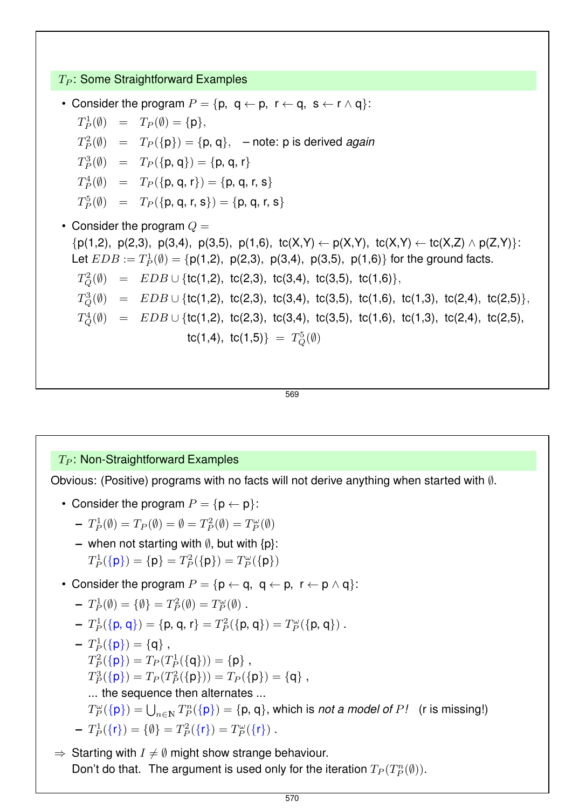$T_P$ : Some Straightforward Examples

• Consider the program  $P = \{p, q \leftarrow p, r \leftarrow q, s \leftarrow r \wedge q\}$ :

 $T_P^1(\emptyset) = T_P(\emptyset) = {\{\mathsf{p}\}},$ 

 $T_P^2(\emptyset) = T_P(\{p\}) = \{p, q\}, -\text{note: } p \text{ is derived again}$ 

 $T_P^3(\emptyset) = T_P(\{\mathsf{p},\mathsf{q}\}) = \{\mathsf{p},\mathsf{q},\mathsf{r}\}$ 

$$
T_P^4(\emptyset) = T_P(\{\mathsf{p}, \mathsf{q}, \mathsf{r}\}) = \{\mathsf{p}, \mathsf{q}, \mathsf{r}, \mathsf{s}\}
$$

 $T_P^5(\emptyset) = T_P(\{\mathsf{p}, \mathsf{q}, \mathsf{r}, \mathsf{s}\}) = \{\mathsf{p}, \mathsf{q}, \mathsf{r}, \mathsf{s}\}$ 

• Consider the program  $Q =$  ${p(1,2), p(2,3), p(3,4), p(3,5), p(1,6), \tc(X,Y) \leftarrow p(X,Y), \tc(X,Y) \leftarrow tc(X,Z) \land p(Z,Y)}$ : Let  $EDB := T_P^1(\emptyset) = \{p(1,2), p(2,3), p(3,4), p(3,5), p(1,6)\}$  for the ground facts.  $T_{Q}^{2}(\emptyset) = EDB \cup \{\text{tc}(1,2), \text{ tc}(2,3), \text{ tc}(3,4), \text{ tc}(3,5), \text{ tc}(1,6)\},$  $T_{Q}^{3}(\emptyset)$  =  $EDB \cup \{$ tc(1,2), tc(2,3), tc(3,4), tc(3,5), tc(1,6), tc(1,3), tc(2,4), tc(2,5)},  $T_{Q}^{4}(\emptyset)$  =  $EDB \cup \{ \text{tc}(1,2), \ \text{tc}(2,3), \ \text{tc}(3,4), \ \text{tc}(3,5), \ \text{tc}(1,6), \ \text{tc}(1,3), \ \text{tc}(2,4), \ \text{tc}(2,5),$  $tc(1,4), \ tc(1,5) = T_Q^5(\emptyset)$ 

569

## $T_P$ : Non-Straightforward Examples

Obvious: (Positive) programs with no facts will not derive anything when started with ∅.

• Consider the program  $P = \{p \leftarrow p\}$ :

$$
-T_P^1(\emptyset)=T_P(\emptyset)=\emptyset=T_P^2(\emptyset)=T_P^\omega(\emptyset)
$$

- **–** when not starting with ∅, but with {p}:  $T_P^1(\{\mathsf{p}\}) = \{\mathsf{p}\} = T_P^2(\{\mathsf{p}\}) = T_P^{\omega}(\{\mathsf{p}\})$
- Consider the program  $P = \{p \leftarrow q, q \leftarrow p, r \leftarrow p \wedge q\}$ :

$$
-T_P^1(\emptyset) = \{\emptyset\} = T_P^2(\emptyset) = T_P^{\omega}(\emptyset).
$$

- **–**  $T_P^1(\{\mathsf{p},\mathsf{q}\}) = \{\mathsf{p},\mathsf{q},\mathsf{r}\} = T_P^2(\{\mathsf{p},\mathsf{q}\}) = T_P^{\omega}(\{\mathsf{p},\mathsf{q}\})$ .
- $-T_P^1(\{\mathsf{p}\}) = \{\mathsf{q}\},\$  $T_P^2(\{\mathsf{p}\}) = T_P(T_P^1(\{\mathsf{q}\})) = \{\mathsf{p}\}\,,$  $T_P^3(\{\mathsf{p}\}) = T_P(T_P^2(\{\mathsf{p}\})) = T_P(\{\mathsf{p}\}) = \{\mathsf{q}\},\$ ... the sequence then alternates ...  $T_P^{\omega}(\{\mathsf{p}\}) = \bigcup_{n\in \mathbb{N}} T_P^n(\{\mathsf{p}\}) = \{\mathsf{p},\mathsf{q}\},$  which is *not a model of P!* (r is missing!)  $-T_P^1(\{\mathsf{r}\}) = \{\emptyset\} = T_P^2(\{\mathsf{r}\}) = T_P^{\omega}(\{\mathsf{r}\})$ .
- $\Rightarrow$  Starting with  $I \neq \emptyset$  might show strange behaviour. Don't do that. The argument is used only for the iteration  $T_P(T_P^n(\emptyset))$ .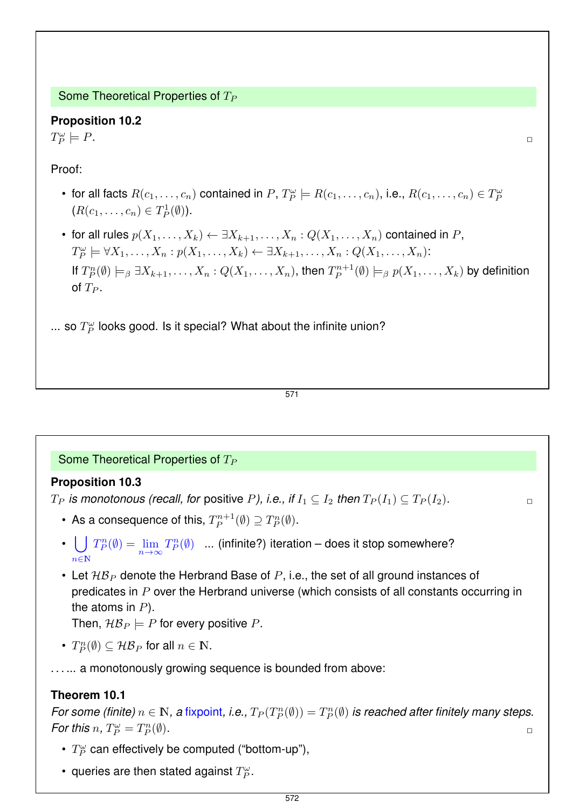Some Theoretical Properties of  $T_P$ 

# **Proposition 10.2**

 $T_P^{\omega}$  $\models P.$ 

Proof:

- for all facts  $R(c_1,\ldots,c_n)$  contained in  $P$ ,  $T_P^{\omega} \models R(c_1,\ldots,c_n)$ , i.e.,  $R(c_1,\ldots,c_n) \in T_P^{\omega}$  $(R(c_1, ..., c_n) \in T_P^1(\emptyset)).$
- for all rules  $p(X_1, \ldots, X_k) \leftarrow \exists X_{k+1}, \ldots, X_n : Q(X_1, \ldots, X_n)$  contained in P,  $T_P^{\omega} \models \forall X_1, \ldots, X_n : p(X_1, \ldots, X_k) \leftarrow \exists X_{k+1}, \ldots, X_n : Q(X_1, \ldots, X_n)$ : If  $T_P^n(\emptyset) \models_\beta \exists X_{k+1}, \ldots, X_n : Q(X_1, \ldots, X_n)$ , then  $T_P^{n+1}$  $P_P^{n+1}(\emptyset) \models_{\beta} p(X_1,\ldots,X_k)$  by definition of  $T_P$ .

... so  $T_P^{\omega}$  looks good. Is it special? What about the infinite union?

#### 571

### Some Theoretical Properties of  $T_P$

### **Proposition 10.3**

 $T_P$  *is monotonous (recall, for positive P), i.e., if*  $I_1 \nsubseteq I_2$  *then*  $T_P(I_1) \nsubseteq T_P(I_2)$ *.* 

- As a consequence of this,  $T_P^{n+1}$  $T_P^{n+1}(\emptyset) \supseteq T_P^{n}(\emptyset).$
- $\bigcup_{n \in \mathbb{N}} T_P^n(\emptyset) = \lim_{n \to \infty}$  $n \in \mathbb{N}$  $T_P^n(\emptyset)$  ... (infinite?) iteration – does it stop somewhere?
- Let  $\mathcal{HB}_P$  denote the Herbrand Base of P, i.e., the set of all ground instances of predicates in P over the Herbrand universe (which consists of all constants occurring in the atoms in  $P$ ). Then,  $\mathcal{HB}_P \models P$  for every positive P.
- $T_P^n(\emptyset) \subseteq \mathcal{HB}_P$  for all  $n \in \mathbb{N}$ .
- . . . ... a monotonously growing sequence is bounded from above:

#### **Theorem 10.1**

*For some (finite)*  $n \in \mathbb{N}$ , a fixpoint, i.e.,  $T_P(T_P^n(\emptyset)) = T_P^n(\emptyset)$  is reached after finitely many steps. *For this*  $n, T_P^{\omega} = T_P^n$  $(\emptyset)$ *.*  $\Box$ 

- $T_P^{\omega}$  can effectively be computed ("bottom-up"),
- queries are then stated against  $T_P^\omega.$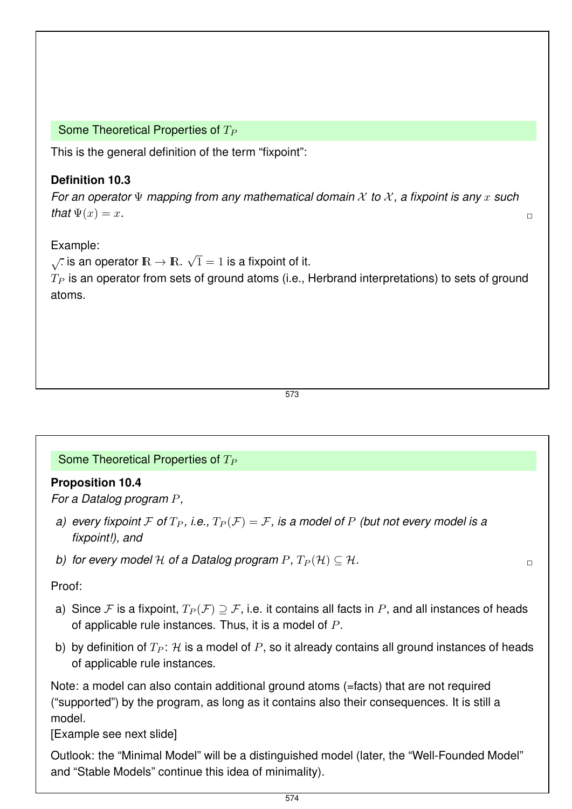Some Theoretical Properties of  $T_P$ 

This is the general definition of the term "fixpoint":

## **Definition 10.3**

*For an operator* Ψ *mapping from any mathematical domain* X *to* X *, a fixpoint is any* x *such*  $\mathbf{that}\Psi(x)=x.$ 

## Example:

 $\sqrt{\cdot}$  is an operator  $\mathbb{R} \to \mathbb{R}$ .  $\sqrt{1} = 1$  is a fixpoint of it.  $T_P$  is an operator from sets of ground atoms (i.e., Herbrand interpretations) to sets of ground atoms.

573

## Some Theoretical Properties of  $T_P$

## **Proposition 10.4**

*For a Datalog program* P*,*

- *a) every fixpoint* F of  $T_P$ , *i.e.*,  $T_P(\mathcal{F}) = \mathcal{F}$ , is a model of P *(but not every model is a fixpoint!), and*
- *b)* for every model H of a Datalog program  $P$ ,  $T_P(\mathcal{H}) \subseteq \mathcal{H}$ .

## Proof:

- a) Since F is a fixpoint,  $T_P(\mathcal{F}) \supseteq \mathcal{F}$ , i.e. it contains all facts in P, and all instances of heads of applicable rule instances. Thus, it is a model of P.
- b) by definition of  $T_P$ : H is a model of P, so it already contains all ground instances of heads of applicable rule instances.

Note: a model can also contain additional ground atoms (=facts) that are not required ("supported") by the program, as long as it contains also their consequences. It is still a model.

[Example see next slide]

Outlook: the "Minimal Model" will be a distinguished model (later, the "Well-Founded Model" and "Stable Models" continue this idea of minimality).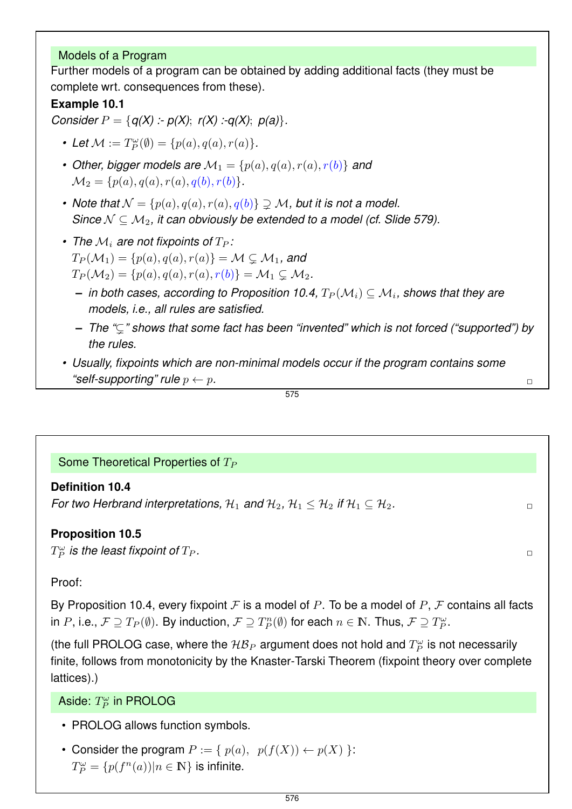## Models of a Program

Further models of a program can be obtained by adding additional facts (they must be complete wrt. consequences from these).

## **Example 10.1**

*Consider*  $P = \{q(X) : p(X); r(X) : q(X); p(a)\}.$ 

- Let  $M := T_P^{\omega}(\emptyset) = \{p(a), q(a), r(a)\}.$
- Other, bigger models are  $\mathcal{M}_1 = \{p(a), q(a), r(a), r(b)\}\$  and  $\mathcal{M}_2 = \{p(a), q(a), r(a), q(b), r(b)\}.$
- Note that  $\mathcal{N} = \{p(a), q(a), r(a), q(b)\} \supseteq \mathcal{M}$ , but it is not a model. *Since*  $N \subseteq M_2$ , it can obviously be extended to a model (cf. Slide 579).
- The  $\mathcal{M}_i$  are not fixpoints of  $T_P$ :  $T_P(\mathcal{M}_1) = \{p(a), q(a), r(a)\} = \mathcal{M} \subsetneq \mathcal{M}_1$ , and  $T_P(\mathcal{M}_2) = \{p(a), q(a), r(a), r(b)\} = \mathcal{M}_1 \subsetneq \mathcal{M}_2.$ 
	- $-$  *in both cases, according to Proposition 10.4,*  $T_P(\mathcal{M}_i) \subseteq \mathcal{M}_i$ *, shows that they are models, i.e., all rules are satisfied.*
	- **–** *The "*(*" shows that some fact has been "invented" which is not forced ("supported") by the rules.*
- *Usually, fixpoints which are non-minimal models occur if the program contains some*  $\Box$  *"self-supporting" rule*  $p \leftarrow p$ .

$$
\overline{\mathbf{575}}
$$

Some Theoretical Properties of  $T_P$ 

## **Definition 10.4**

*For two Herbrand interpretations,*  $H_1$  *and*  $H_2$ ,  $H_1 \leq H_2$  *if*  $H_1 \subseteq H_2$ .

## **Proposition 10.5**

 $T_P^{\omega}$  is the least fixpoint of  $T_P$ .

## Proof:

By Proposition 10.4, every fixpoint  $\mathcal F$  is a model of P. To be a model of P,  $\mathcal F$  contains all facts in P, i.e.,  $\mathcal{F} \supseteq T_P(\emptyset)$ . By induction,  $\mathcal{F} \supseteq T_P^n(\emptyset)$  for each  $n \in \mathbb{N}$ . Thus,  $\mathcal{F} \supseteq T_P^\omega$ .

(the full PROLOG case, where the  $\mathcal{HB}_P$  argument does not hold and  $T_P^\omega$  is not necessarily finite, follows from monotonicity by the Knaster-Tarski Theorem (fixpoint theory over complete lattices).)

Aside:  $T_P^{\omega}$  in PROLOG

- PROLOG allows function symbols.
- Consider the program  $P := \{ p(a), p(f(X)) \leftarrow p(X) \}$ :  $T_P^{\omega} = \{p(f^n(a)) | n \in \mathbb{N}\}\$ is infinite.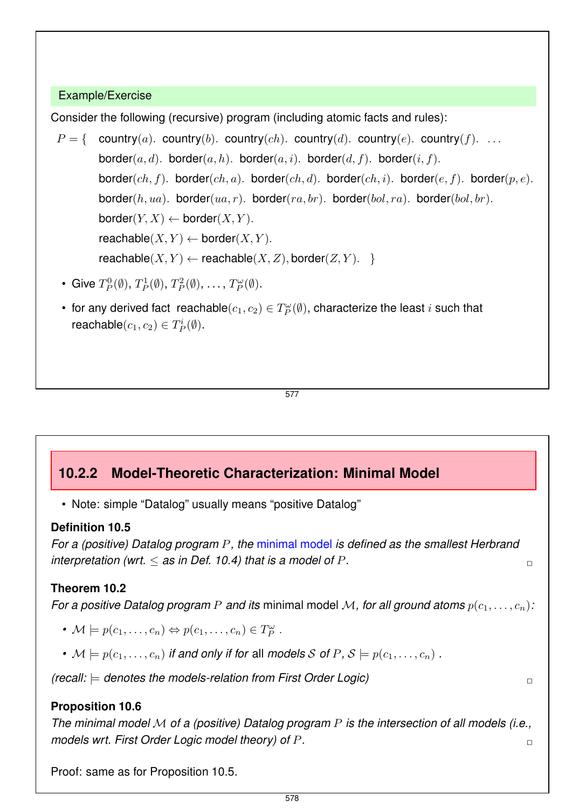## Example/Exercise

Consider the following (recursive) program (including atomic facts and rules):

- $P = \{$  country(a). country(b). country(ch). country(d). country(e). country(f). ... border(a, d). border(a, h). border(a, i). border(d, f). border(i, f). border(ch, f). border(ch, a). border(ch, d). border(ch, i). border(e, f). border(p, e). border(h, ua). border(ua, r). border(ra, br). border(bol, ra). border(bol, br).  $border(Y, X) \leftarrow border(X, Y).$  $\mathsf{reachable}(X, Y) \leftarrow \mathsf{border}(X, Y).$  $reachable(X, Y) \leftarrow reachable(X, Z), border(Z, Y).$ 
	- Give  $T_P^0(\emptyset)$ ,  $T_P^1(\emptyset)$ ,  $T_P^2(\emptyset)$ , ...,  $T_P^{\omega}(\emptyset)$ .
	- for any derived fact reachable $(c_1, c_2) \in T_P^\omega(\emptyset)$ , characterize the least  $i$  such that reachable $(c_1, c_2) \in T_P^i(\emptyset)$ .

577

## **10.2.2 Model-Theoretic Characterization: Minimal Model**

• Note: simple "Datalog" usually means "positive Datalog"

### **Definition 10.5**

*For a (positive) Datalog program* P*, the* minimal model *is defined as the smallest Herbrand interpretation (wrt.*  $\leq$  *as in Def.* 10.4) that is a model of P.

## **Theorem 10.2**

*For a positive Datalog program* P *and its* minimal model M, for all ground atoms  $p(c_1, \ldots, c_n)$ :

- $\mathcal{M} \models p(c_1, \ldots, c_n) \Leftrightarrow p(c_1, \ldots, c_n) \in T_P^{\omega}$ .
- $M \models p(c_1, \ldots, c_n)$  *if and only if for all models S of P, S*  $\models p(c_1, \ldots, c_n)$ .

*(recall:* |= *denotes the models-relation from First Order Logic)* ✷

## **Proposition 10.6**

*The minimal model* M *of a (positive) Datalog program* P *is the intersection of all models (i.e., models wrt. First Order Logic model theory) of* P*.* ✷

Proof: same as for Proposition 10.5.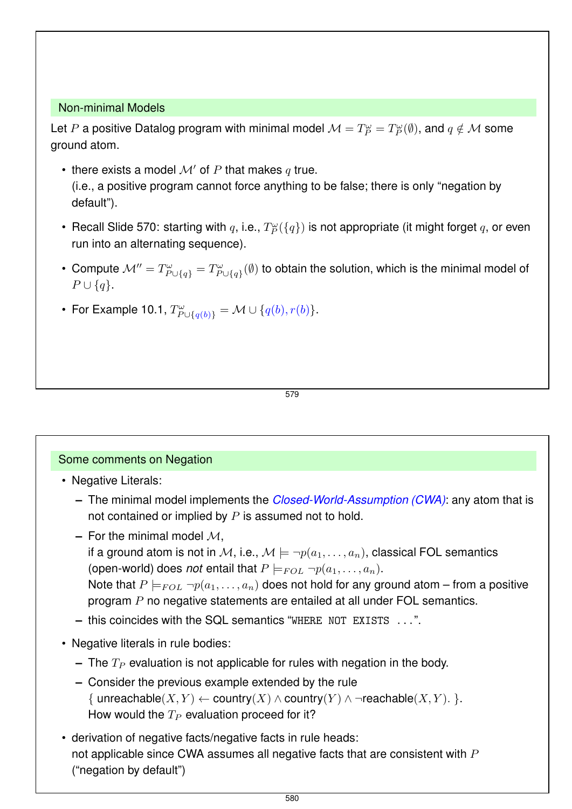#### Non-minimal Models

Let  $P$  a positive Datalog program with minimal model  $\mathcal{M}=T_P^\omega=T_P^\omega(\emptyset),$  and  $q\notin \mathcal{M}$  some ground atom.

- there exists a model  $\mathcal{M}'$  of P that makes q true. (i.e., a positive program cannot force anything to be false; there is only "negation by default").
- Recall Slide 570: starting with  $q$ , i.e.,  $T_P^\omega(\{q\})$  is not appropriate (it might forget  $q$ , or even run into an alternating sequence).
- Compute  $\mathcal{M}'' = T^{\omega}_{P \cup \{q\}} = T^{\omega}_{P \cup \{q\}}$  $\mathbb{P}^{\omega}_{P \cup \{q\}}(\emptyset)$  to obtain the solution, which is the minimal model of  $P \cup \{q\}.$
- For Example 10.1,  $T^{\omega}_{P \cup \{q(b)\}} = M \cup \{q(b), r(b)\}.$

579

### Some comments on Negation

- Negative Literals:
	- **–** The minimal model implements the *Closed-World-Assumption (CWA)*: any atom that is not contained or implied by  $P$  is assumed not to hold.
	- $-$  For the minimal model  $\mathcal{M}$ ,
		- if a ground atom is not in M, i.e.,  $M \models \neg p(a_1, \ldots, a_n)$ , classical FOL semantics (open-world) does *not* entail that  $P \models_{FOL} \neg p(a_1, \ldots, a_n)$ .
		- Note that  $P \models_{FOL} \neg p(a_1, \ldots, a_n)$  does not hold for any ground atom from a positive program P no negative statements are entailed at all under FOL semantics.
	- **–** this coincides with the SQL semantics "WHERE NOT EXISTS ...".
- Negative literals in rule bodies:
	- $\blacksquare$  The  $T_P$  evaluation is not applicable for rules with negation in the body.
	- **–** Consider the previous example extended by the rule { unreachable( $X, Y$ )  $\leftarrow$  country( $X$ )  $\wedge$  country( $Y$ )  $\wedge$  ¬reachable( $X, Y$ ). }. How would the  $T_P$  evaluation proceed for it?
- derivation of negative facts/negative facts in rule heads: not applicable since CWA assumes all negative facts that are consistent with  $P$ ("negation by default")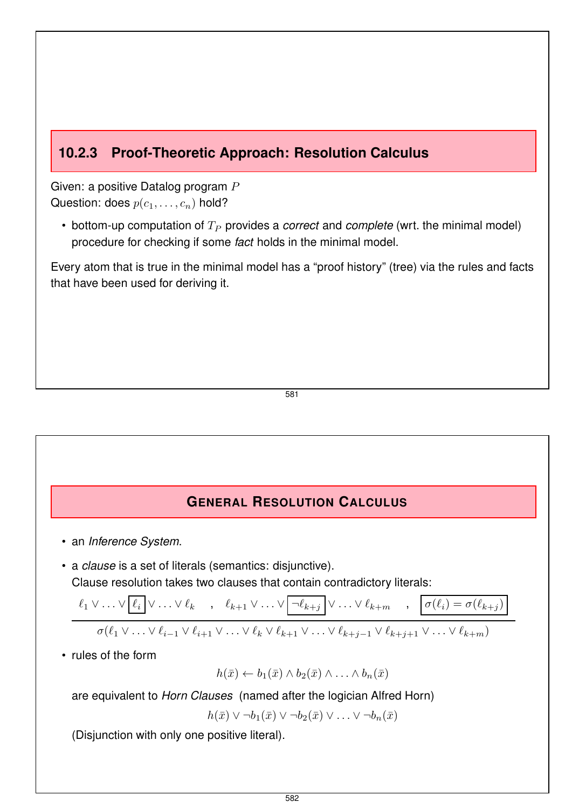## **10.2.3 Proof-Theoretic Approach: Resolution Calculus**

Given: a positive Datalog program P Question: does  $p(c_1, \ldots, c_n)$  hold?

• bottom-up computation of  $T_P$  provides a *correct* and *complete* (wrt. the minimal model) procedure for checking if some *fact* holds in the minimal model.

Every atom that is true in the minimal model has a "proof history" (tree) via the rules and facts that have been used for deriving it.

581

## **GENERAL RESOLUTION CALCULUS**

- an *Inference System*.
- a *clause* is a set of literals (semantics: disjunctive). Clause resolution takes two clauses that contain contradictory literals:

$$
\ell_1 \vee \ldots \vee \boxed{\ell_i} \vee \ldots \vee \ell_k \quad , \quad \ell_{k+1} \vee \ldots \vee \boxed{\neg \ell_{k+j}} \vee \ldots \vee \ell_{k+m} \quad , \quad \boxed{\sigma(\ell_i) = \sigma(\ell_{k+j})}
$$

$$
\sigma(\ell_1 \vee \ldots \vee \ell_{i-1} \vee \ell_{i+1} \vee \ldots \vee \ell_k \vee \ell_{k+1} \vee \ldots \vee \ell_{k+j-1} \vee \ell_{k+j+1} \vee \ldots \vee \ell_{k+m})
$$

• rules of the form

$$
h(\bar{x}) \leftarrow b_1(\bar{x}) \wedge b_2(\bar{x}) \wedge \ldots \wedge b_n(\bar{x})
$$

are equivalent to *Horn Clauses* (named after the logician Alfred Horn)

 $h(\bar{x}) \vee \neg b_1(\bar{x}) \vee \neg b_2(\bar{x}) \vee \dots \vee \neg b_n(\bar{x})$ 

(Disjunction with only one positive literal).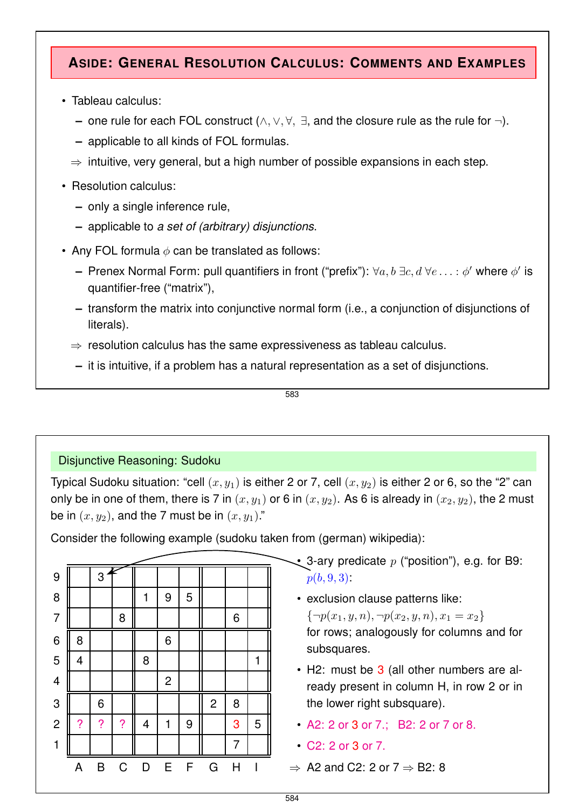## **ASIDE: GENERAL RESOLUTION CALCULUS: COMMENTS AND EXAMPLES**

- Tableau calculus:
	- **–** one rule for each FOL construct (∧, ∨, ∀, ∃, and the closure rule as the rule for ¬).
	- **–** applicable to all kinds of FOL formulas.
	- $\Rightarrow$  intuitive, very general, but a high number of possible expansions in each step.
- Resolution calculus:
	- **–** only a single inference rule,
	- **–** applicable to *a set of (arbitrary) disjunctions*.
- Any FOL formula  $\phi$  can be translated as follows:
	- **–** Prenex Normal Form: pull quantifiers in front ("prefix"):  $\forall a, b$  ∃ $c, d$   $\forall e \ldots : \phi'$  where  $\phi'$  is quantifier-free ("matrix"),
	- **–** transform the matrix into conjunctive normal form (i.e., a conjunction of disjunctions of literals).
	- $\Rightarrow$  resolution calculus has the same expressiveness as tableau calculus.
	- **–** it is intuitive, if a problem has a natural representation as a set of disjunctions.

583

## Disjunctive Reasoning: Sudoku

Typical Sudoku situation: "cell  $(x, y_1)$  is either 2 or 7, cell  $(x, y_2)$  is either 2 or 6, so the "2" can only be in one of them, there is 7 in  $(x, y_1)$  or 6 in  $(x, y_2)$ . As 6 is already in  $(x_2, y_2)$ , the 2 must be in  $(x, y_2)$ , and the 7 must be in  $(x, y_1)$ ."

Consider the following example (sudoku taken from (german) wikipedia):

| 9                       |   | 3 |                          |                         |              |   |                |   |   |
|-------------------------|---|---|--------------------------|-------------------------|--------------|---|----------------|---|---|
| 8                       |   |   |                          | 1                       | 9            | 5 |                |   |   |
| $\overline{7}$          |   |   | 8                        |                         |              |   |                | 6 |   |
| 6                       | 8 |   |                          |                         | 6            |   |                |   |   |
| 5                       | 4 |   |                          | 8                       |              |   |                |   | 1 |
| $\overline{\mathbf{4}}$ |   |   |                          |                         | $\mathbf{2}$ |   |                |   |   |
| $\mathbf 3$             |   | 6 |                          |                         |              |   | $\overline{c}$ | 8 |   |
| $\overline{2}$          | ? | ? | $\overline{\mathcal{C}}$ | $\overline{\mathbf{4}}$ | 1            | 9 |                | 3 | 5 |
| 1                       |   |   |                          |                         |              |   |                | 7 |   |
|                         | A | B | $\mathsf C$              | D                       | E            | F | G              | H | I |
|                         |   |   |                          |                         |              |   |                |   |   |

- 3-ary predicate  $p$  ("position"), e.g. for B9:  $p(b, 9, 3)$ :
- exclusion clause patterns like:  $\{\neg p(x_1, y, n), \neg p(x_2, y, n), x_1 = x_2\}$ for rows; analogously for columns and for subsquares.
- H2: must be 3 (all other numbers are already present in column H, in row 2 or in the lower right subsquare).
- A2: 2 or 3 or 7.; B2: 2 or 7 or 8.
- C2: 2 or 3 or 7.
- $\Rightarrow$  A2 and C2: 2 or 7  $\Rightarrow$  B2: 8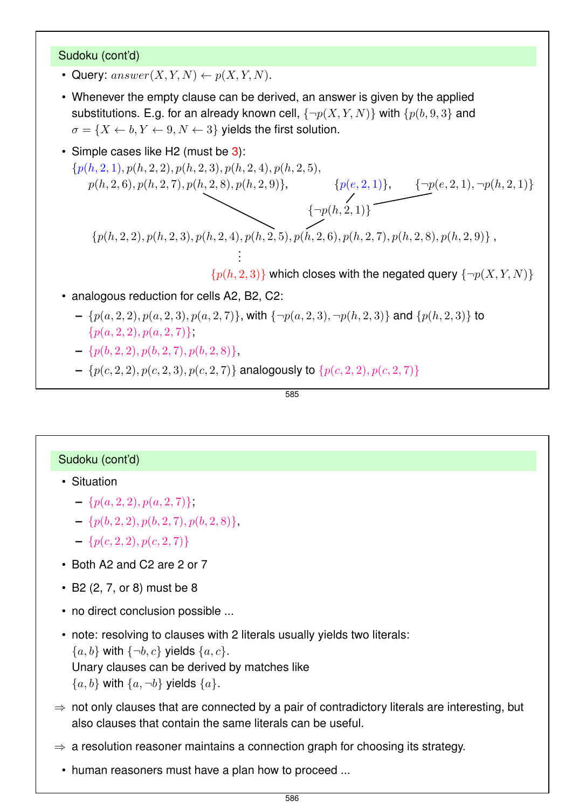#### Sudoku (cont'd)

- Query:  $answer(X, Y, N) \leftarrow p(X, Y, N)$ .
- Whenever the empty clause can be derived, an answer is given by the applied substitutions. E.g. for an already known cell,  $\{\neg p(X, Y, N)\}$  with  $\{p(b, 9, 3)\}$  and  $\sigma = \{X \leftarrow b, Y \leftarrow 9, N \leftarrow 3\}$  yields the first solution.
- Simple cases like H2 (must be  $3$ ):

 $\{p(h, 2, 1), p(h, 2, 2), p(h, 2, 3), p(h, 2, 4), p(h, 2, 5),$ <br> $p(h, 2, 6), p(h, 2, 7), p(h, 2, 8), p(h, 2, 9)\},\$  ${p(e, 2, 1)}, \quad {\neg p(e, 2, 1), \neg p(h, 2, 1)}$ <br>(h, 2, 1)}  ${\genfrac{\{}{\}}{0pt}{}{\negthinspace\negthinspace\rightarrow}}{\negthinspace\{ \neg p(h,2,1) \}}$  $\{p(h, 2, 2), p(h, 2, 3), p(h, 2, 4), p(h, 2, 5), p(h, 2, 6), p(h, 2, 7), p(h, 2, 8), p(h, 2, 9)\}\,$ . .

 $\{p(h, 2, 3)\}\$  which closes with the negated query  $\{\neg p(X, Y, N)\}\$ 

- analogous reduction for cells A2, B2, C2:
	- $= \{p(a, 2, 2), p(a, 2, 3), p(a, 2, 7)\}\$ , with  $\{\neg p(a, 2, 3), \neg p(h, 2, 3)\}\$  and  $\{p(h, 2, 3)\}\$  to  $\{p(a, 2, 2), p(a, 2, 7)\},\$
	- $= \{p(b, 2, 2), p(b, 2, 7), p(b, 2, 8)\},\$
	- $-$  { $p(c, 2, 2), p(c, 2, 3), p(c, 2, 7)$ } analogously to { $p(c, 2, 2), p(c, 2, 7)$ }

.

585

### Sudoku (cont'd)

- Situation
	- $\{p(a, 2, 2), p(a, 2, 7)\}.$
	- $\{p(b, 2, 2), p(b, 2, 7), p(b, 2, 8)\},\$
	- $\{p(c, 2, 2), p(c, 2, 7)\}\$
- Both A2 and C2 are 2 or 7
- B2 (2, 7, or 8) must be 8
- no direct conclusion possible ...
- note: resolving to clauses with 2 literals usually yields two literals:
	- ${a, b}$  with  ${\neg b, c}$  yields  ${a, c}$ .

Unary clauses can be derived by matches like

- ${a, b}$  with  ${a, \neg b}$  yields  ${a}$ .
- $\Rightarrow$  not only clauses that are connected by a pair of contradictory literals are interesting, but also clauses that contain the same literals can be useful.
- $\Rightarrow$  a resolution reasoner maintains a connection graph for choosing its strategy.
- human reasoners must have a plan how to proceed ...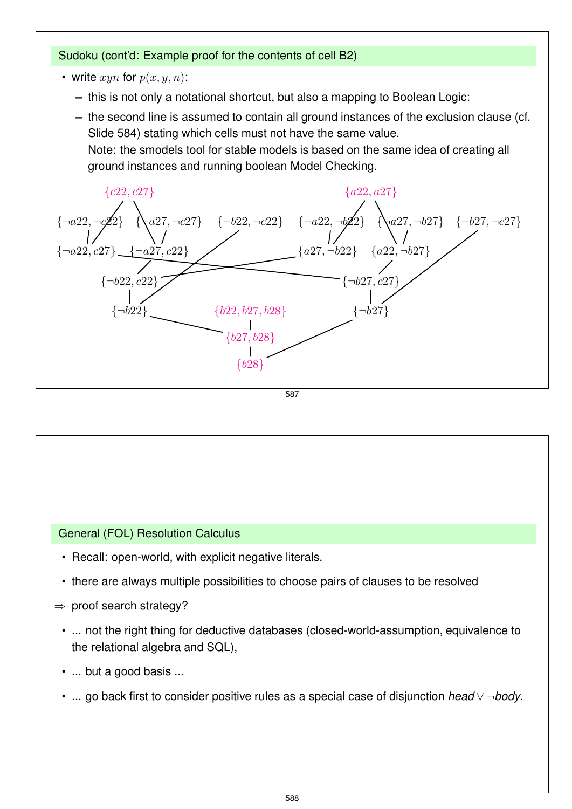## Sudoku (cont'd: Example proof for the contents of cell B2)

- write  $xyn$  for  $p(x, y, n)$ :
	- **–** this is not only a notational shortcut, but also a mapping to Boolean Logic:
	- **–** the second line is assumed to contain all ground instances of the exclusion clause (cf. Slide 584) stating which cells must not have the same value. Note: the smodels tool for stable models is based on the same idea of creating all

ground instances and running boolean Model Checking.



587

# General (FOL) Resolution Calculus

- Recall: open-world, with explicit negative literals.
- there are always multiple possibilities to choose pairs of clauses to be resolved
- $\Rightarrow$  proof search strategy?
	- ... not the right thing for deductive databases (closed-world-assumption, equivalence to the relational algebra and SQL),
	- ... but a good basis ...
	- ... go back first to consider positive rules as a special case of disjunction *head* ∨ ¬*body*.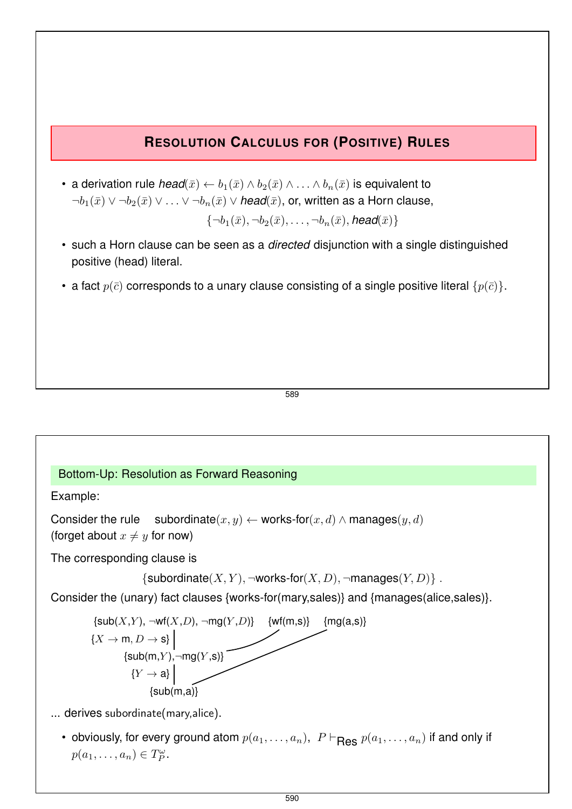## **RESOLUTION CALCULUS FOR (POSITIVE) RULES**

- a derivation rule  $head(\bar{x}) \leftarrow b_1(\bar{x}) \wedge b_2(\bar{x}) \wedge \ldots \wedge b_n(\bar{x})$  is equivalent to  $\neg b_1(\bar{x}) \vee \neg b_2(\bar{x}) \vee \ldots \vee \neg b_n(\bar{x}) \vee \textit{head}(\bar{x})$ , or, written as a Horn clause,  $\{\neg b_1(\bar{x}), \neg b_2(\bar{x}), \dots, \neg b_n(\bar{x}), \text{head}(\bar{x})\}$
- such a Horn clause can be seen as a *directed* disjunction with a single distinguished positive (head) literal.
- a fact  $p(\bar{c})$  corresponds to a unary clause consisting of a single positive literal  $\{p(\bar{c})\}$ .

589

## Bottom-Up: Resolution as Forward Reasoning

Example:

Consider the rule subordinate $(x, y) \leftarrow$  works-for $(x, d) \wedge$  manages $(y, d)$ (forget about  $x \neq y$  for now)

The corresponding clause is

{subordinate(X, Y),  $\neg$ works-for(X, D),  $\neg$ manages(Y, D)}.

Consider the (unary) fact clauses {works-for(mary,sales)} and {manages(alice,sales)}.



... derives subordinate(mary,alice).

• obviously, for every ground atom  $p(a_1, \ldots, a_n)$ ,  $P \vdash_{\mathbf{Bes}} p(a_1, \ldots, a_n)$  if and only if  $p(a_1,\ldots,a_n)\in T_P^{\omega}$ .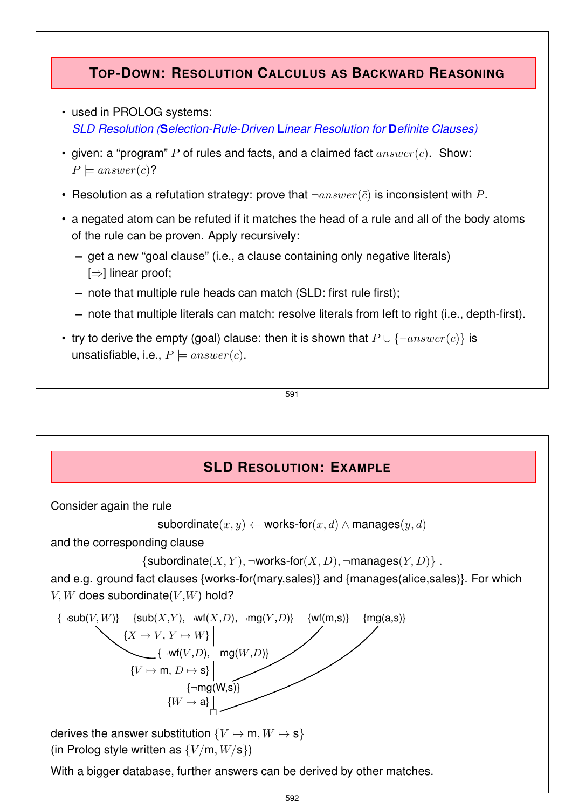## **TOP-DOWN: RESOLUTION CALCULUS AS BACKWARD REASONING**

- used in PROLOG systems: *SLD Resolution (***S***election-Rule-Driven* **L***inear Resolution for* **D***efinite Clauses)*
- given: a "program" P of rules and facts, and a claimed fact  $answer(\bar{c})$ . Show:  $P \models answer(\bar{c})$ ?
- Resolution as a refutation strategy: prove that  $\neg answer(\bar{c})$  is inconsistent with P.
- a negated atom can be refuted if it matches the head of a rule and all of the body atoms of the rule can be proven. Apply recursively:
	- **–** get a new "goal clause" (i.e., a clause containing only negative literals) [⇒] linear proof;
	- **–** note that multiple rule heads can match (SLD: first rule first);
	- **–** note that multiple literals can match: resolve literals from left to right (i.e., depth-first).
- try to derive the empty (goal) clause: then it is shown that  $P \cup \{\neg answer(\bar{c})\}$  is unsatisfiable, i.e.,  $P \models answer(\bar{c})$ .

591

## **SLD RESOLUTION: EXAMPLE**

Consider again the rule

```
subordinate(x, y) \leftarrow works-for(x, d) \wedge manages(y, d)
```
and the corresponding clause

```
{subordinate(X, Y), \negworks-for(X, D), \negmanages(Y, D)}.
```
and e.g. ground fact clauses {works-for(mary,sales)} and {manages(alice,sales)}. For which  $V, W$  does subordinate $(V, W)$  hold?



derives the answer substitution  $\{V \mapsto m, W \mapsto s\}$ (in Prolog style written as  $\{V/m, W/s\}$ )

With a bigger database, further answers can be derived by other matches.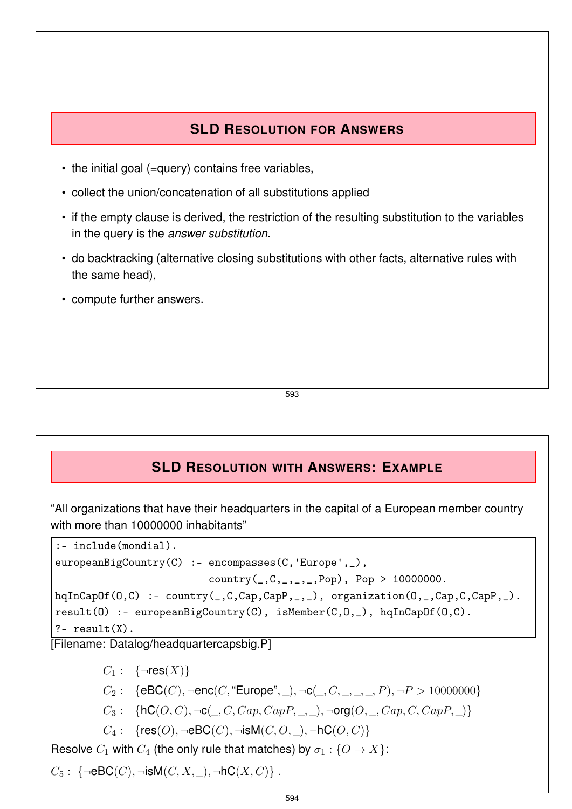## **SLD RESOLUTION FOR ANSWERS**

- the initial goal (=query) contains free variables,
- collect the union/concatenation of all substitutions applied
- if the empty clause is derived, the restriction of the resulting substitution to the variables in the query is the *answer substitution*.
- do backtracking (alternative closing substitutions with other facts, alternative rules with the same head),
- compute further answers.

593

## **SLD RESOLUTION WITH ANSWERS: EXAMPLE**

"All organizations that have their headquarters in the capital of a European member country with more than 10000000 inhabitants"

```
:- include(mondial).
europeanBigCountry(C) :- encompasses(C, 'Europe', _),
                          country(\_,C,\_,C,\_,\_,Pop), Pop > 10000000.hqInCapOf(O,C) :- country(_,C,Cap,CapP,_,_), organization(O,_,Cap,C,CapP,_).
result(O) :- europeanBigCountry(C), isMember(C,O,_), hqInCapOf(O,C).
?- result(X).
```
[Filename: Datalog/headquartercapsbig.P]

 $C_1: \{ \neg res(X) \}$ 

- $C_2$ : {eBC(C), ¬enc(C, "Europe", ), ¬c(, C, , , , P), ¬ $P > 10000000$ }
- $C_3$ : {hC(O, C),  $\neg$ c(, C, Cap, CapP, , ),  $\neg$ org(O, , Cap, C, CapP, )}
- $C_4$ : {res $(O)$ ,  $\neg$ eBC $(C)$ ,  $\neg$ isM $(C, O, )$ ,  $\neg$ hC $(O, C)$ }

Resolve  $C_1$  with  $C_4$  (the only rule that matches) by  $\sigma_1 : \{O \to X\}$ :

 $C_5: \{\neg \textsf{eBC}(C), \neg \textsf{isM}(C, X, \_)$ ,  $\neg \textsf{hC}(X, C)\}$ .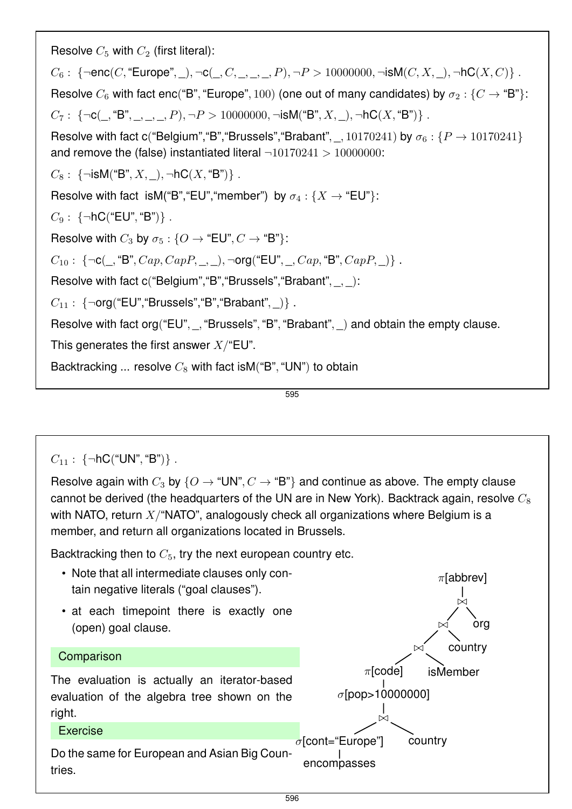| Resolve $C_5$ with $C_2$ (first literal):                                                                                                                                                                                                                                                                                                                                                                                                                        |  |  |  |  |  |  |  |
|------------------------------------------------------------------------------------------------------------------------------------------------------------------------------------------------------------------------------------------------------------------------------------------------------------------------------------------------------------------------------------------------------------------------------------------------------------------|--|--|--|--|--|--|--|
| $C_6$ : {¬enc(C, "Europe", _), ¬c(_, C, _, _, _, P), ¬ $P > 10000000$ , ¬isM(C, X, _), ¬hC(X, C)}.                                                                                                                                                                                                                                                                                                                                                               |  |  |  |  |  |  |  |
| Resolve $C_6$ with fact enc("B", "Europe", 100) (one out of many candidates) by $\sigma_2$ : { $C \rightarrow$ "B"}:                                                                                                                                                                                                                                                                                                                                             |  |  |  |  |  |  |  |
| $C_7: \{\neg \texttt{C}(\_,\texttt{``B",}\_,\_,\_,\}, \neg P>10000000,\neg \texttt{isM("B",} X,\_,\neg \texttt{hC}(X,\texttt{``B")}\}.$                                                                                                                                                                                                                                                                                                                          |  |  |  |  |  |  |  |
| Resolve with fact c("Belgium", "B", "Brussels", "Brabant", _, 10170241) by $\sigma_6$ : { $P \rightarrow 10170241$ }<br>and remove the (false) instantiated literal $\neg 10170241 > 10000000$ :                                                                                                                                                                                                                                                                 |  |  |  |  |  |  |  |
| $C_8$ : {¬isM("B", X, _), ¬hC(X, "B")}.                                                                                                                                                                                                                                                                                                                                                                                                                          |  |  |  |  |  |  |  |
| Resolve with fact isM("B", "EU", "member") by $\sigma_4$ : { $X \rightarrow$ "EU"}:                                                                                                                                                                                                                                                                                                                                                                              |  |  |  |  |  |  |  |
| $C_9: \{\neg \text{hC}(\text{``EU''}, \text{``B''})\}.$                                                                                                                                                                                                                                                                                                                                                                                                          |  |  |  |  |  |  |  |
| Resolve with $C_3$ by $\sigma_5$ : { $O \rightarrow$ "EU", $C \rightarrow$ "B"}:                                                                                                                                                                                                                                                                                                                                                                                 |  |  |  |  |  |  |  |
| $C_{10}: \{\neg \textbf{c}(\_,\textbf{``B",} Cap, CapP, \_,\_) , \neg \textbf{org}(\textbf{``EU", \_,} Cap, \textbf{``B",} CapP, \_)\}.$                                                                                                                                                                                                                                                                                                                         |  |  |  |  |  |  |  |
| Resolve with fact $c("Belgium", "B", "Brussels", "Brabant", , ):$                                                                                                                                                                                                                                                                                                                                                                                                |  |  |  |  |  |  |  |
| $C_{11}: \{\neg \text{org}(\text{``EU''}, \text{``Brussels''}, \text{``B''}, \text{``Braham''}, \_\text{``I''}, \_\text{``I''}, \_\text{``I''}, \_\text{``I''}, \_\text{``I''}, \_\text{``I''}, \_\text{``I''}, \_\text{``I''}, \_\text{``I''}, \_\text{``I''}, \_\text{``I''}, \_\text{``I''}, \_\text{``I''}, \_\text{``I''}, \_\text{``I''}, \_\text{``I''}, \_\text{``I''}, \_\text{``I''}, \_\text{``I''}, \_\text{``I''}, \_\text{``I''}, \_\text{``I''},$ |  |  |  |  |  |  |  |
| Resolve with fact org("EU", _, "Brussels", "B", "Brabant", _) and obtain the empty clause.                                                                                                                                                                                                                                                                                                                                                                       |  |  |  |  |  |  |  |
| This generates the first answer $X$ /"EU".                                                                                                                                                                                                                                                                                                                                                                                                                       |  |  |  |  |  |  |  |
| Backtracking  resolve $C_8$ with fact is M("B", "UN") to obtain                                                                                                                                                                                                                                                                                                                                                                                                  |  |  |  |  |  |  |  |

595

 $C_{11}$ : {¬hC("UN", "B")}.

Resolve again with  $C_3$  by  $\{O \to \text{``UN''}, C \to \text{``B''}\}\$  and continue as above. The empty clause cannot be derived (the headquarters of the UN are in New York). Backtrack again, resolve  $C_8$ with NATO, return  $X$ <sup>"</sup>NATO", analogously check all organizations where Belgium is a member, and return all organizations located in Brussels.

Backtracking then to  $C_5$ , try the next european country etc.

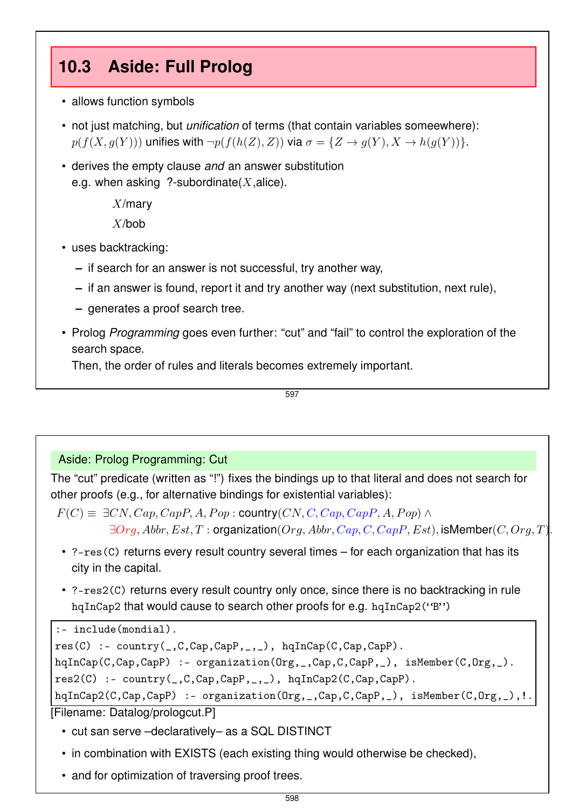# **10.3 Aside: Full Prolog**

- allows function symbols
- not just matching, but *unification* of terms (that contain variables someewhere):  $p(f(X, g(Y)))$  unifies with  $\neg p(f(h(Z), Z))$  via  $\sigma = \{Z \rightarrow g(Y), X \rightarrow h(g(Y))\}.$
- derives the empty clause *and* an answer substitution e.g. when asking ?-subordinate $(X, \text{alice})$ .

 $X$ /mary X/bob

- uses backtracking:
	- **–** if search for an answer is not successful, try another way,
	- **–** if an answer is found, report it and try another way (next substitution, next rule),
	- **–** generates a proof search tree.
- Prolog *Programming* goes even further: "cut" and "fail" to control the exploration of the search space.

Then, the order of rules and literals becomes extremely important.

597

## Aside: Prolog Programming: Cut

The "cut" predicate (written as "!") fixes the bindings up to that literal and does not search for other proofs (e.g., for alternative bindings for existential variables):

- $F(C) \equiv \exists CN, Cap, CapP, A, Pop : \text{country}(CN, C, Cap, CapP, A, Pop) \land$  $\exists Org, Abbr, Est, T: organization(Org, Abbr, Cap, C, CapP, Est), isMember(C, Orq, T).$
- ?-res(C) returns every result country several times for each organization that has its city in the capital.
- ?-res2(C) returns every result country only once, since there is no backtracking in rule hqInCap2 that would cause to search other proofs for e.g. hqInCap2("B")

```
:- include(mondial).
```

```
res(C) := country(\_,C,Cap,Cap,P,\_,\_), hqInCap(C,Cap,CapP).
```

```
hqInCap(C,Cap,CapP) :- organization(Org,_,Cap,C,CapP,_), isMember(C,Org,_).
```
res2(C) :- country(\_,C,Cap,CapP,\_,\_), hqInCap2(C,Cap,CapP).

```
hqInCap2(C,Cap,CapP) :- organization(Org,_,Cap,C,CapP,_), isMember(C,Org,_),!.
[Filename: Datalog/prologcut.P]
```
- cut san serve –declaratively– as a SQL DISTINCT
- in combination with EXISTS (each existing thing would otherwise be checked),
- and for optimization of traversing proof trees.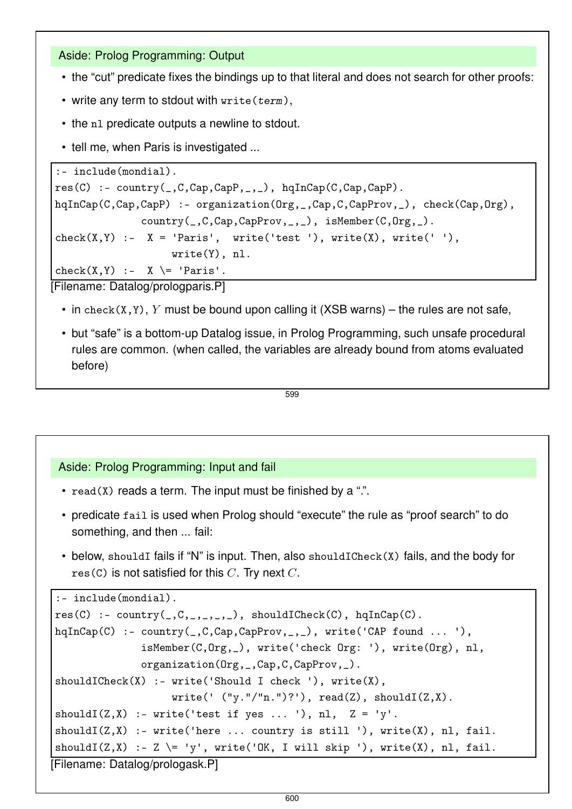Aside: Prolog Programming: Output

- the "cut" predicate fixes the bindings up to that literal and does not search for other proofs:
- write any term to stdout with  $write(term)$ ,
- the n1 predicate outputs a newline to stdout.
- tell me, when Paris is investigated ...

```
:- include(mondial).
res(C) :- country(_,C,Cap,CapP,_,_), hqInCap(C,Cap,CapP).
hqInCap(C,Cap,CapP) :- organization(Org,_,Cap,C,CapProv,_), check(Cap,Org),
              country(_,C,Cap,CapProv,_,_), isMember(C,Org,_).
check(X,Y) :- X = 'Paris', write('test'), write(X), write(' '),
                   write(Y), nl.
check(X,Y) :- X \geq 'Paris'.
```
[Filename: Datalog/prologparis.P]

- in check(X,Y), Y must be bound upon calling it (XSB warns) the rules are not safe,
- but "safe" is a bottom-up Datalog issue, in Prolog Programming, such unsafe procedural rules are common. (when called, the variables are already bound from atoms evaluated before)

```
599
```
## Aside: Prolog Programming: Input and fail

- $read(X)$  reads a term. The input must be finished by a ".".
- predicate fail is used when Prolog should "execute" the rule as "proof search" to do something, and then ... fail:
- below, shouldI fails if "N" is input. Then, also shouldICheck(X) fails, and the body for  $res(C)$  is not satisfied for this C. Try next C.

```
:- include(mondial).
res(C) := country(\_,C,\_,\_,\_,\_), shouldICheck(C), hqInCap(C).hqInCap(C) :- country(_,C,Cap,CapProv,_,_), write('CAP found ... '),
               isMember(C,Org,_), write('check Org: '), write(Org), nl,
              organization(Org,_,Cap,C,CapProv,_).
shouldICheck(X) :- write('Should I check '), write(X),write(' ('''y.'''n.'')?'), read(Z), shouldI(Z,X).shouldI(Z, X) :- write ('test if yes ... '), nl, Z = 'y'.
shouldI(Z, X) :- write('here ... country is still '), write(X), nl, fail.
shouldI(Z,X) :- Z \= 'y', write('OK, I will skip '), write(X), nl, fail.
[Filename: Datalog/prologask.P]
```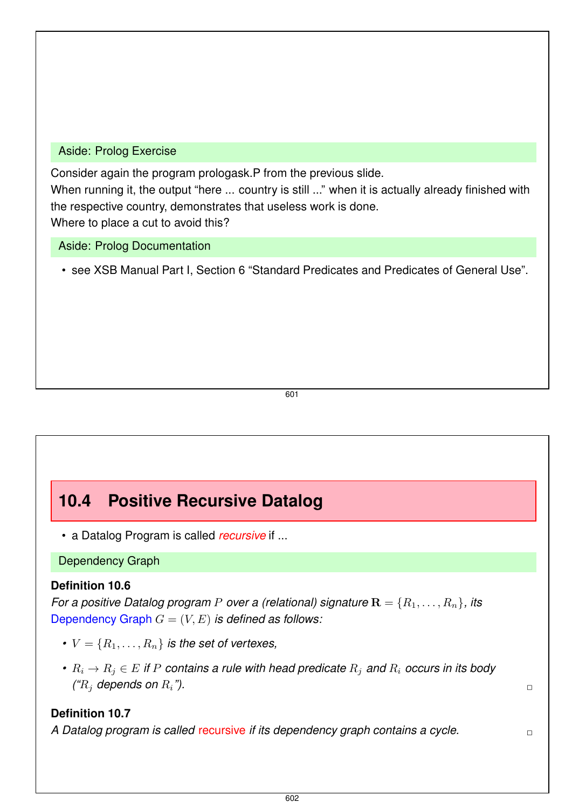### Aside: Prolog Exercise

Consider again the program prologask.P from the previous slide.

When running it, the output "here ... country is still ..." when it is actually already finished with the respective country, demonstrates that useless work is done.

Where to place a cut to avoid this?

Aside: Prolog Documentation

• see XSB Manual Part I, Section 6 "Standard Predicates and Predicates of General Use".

601

# **10.4 Positive Recursive Datalog**

• a Datalog Program is called *recursive* if ...

Dependency Graph

## **Definition 10.6**

*For a positive Datalog program* P *over a (relational) signature*  $\mathbf{R} = \{R_1, \ldots, R_n\}$ , its Dependency Graph  $G = (V, E)$  *is defined as follows:* 

- $V = \{R_1, \ldots, R_n\}$  *is the set of vertexes,*
- $R_i \rightarrow R_j \in E$  *if* P contains a rule with head predicate  $R_i$  and  $R_i$  occurs in its body  $({}^{\circ}\!R_i$  depends on  $R_i$ ").

## **Definition 10.7**

*A Datalog program is called* recursive *if its dependency graph contains a cycle.* ✷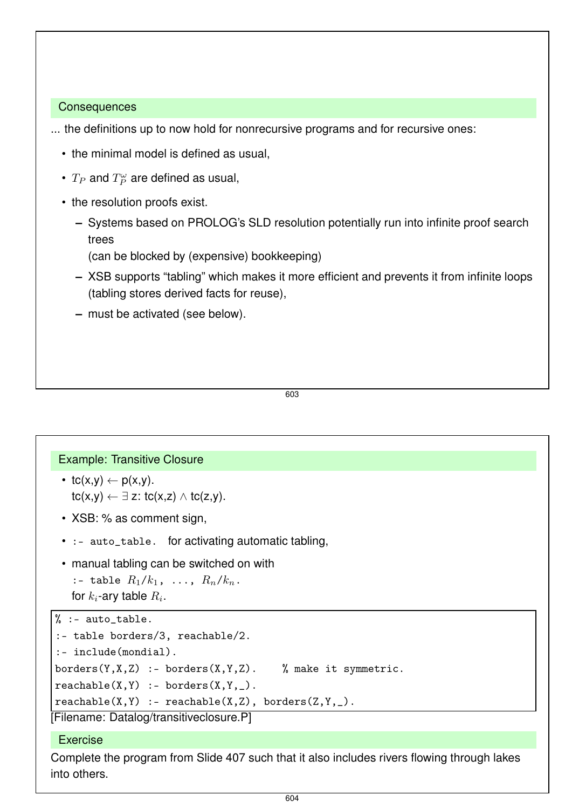#### **Consequences**

... the definitions up to now hold for nonrecursive programs and for recursive ones:

- the minimal model is defined as usual,
- $T_P$  and  $T_P^{\omega}$  are defined as usual,
- the resolution proofs exist.
	- **–** Systems based on PROLOG's SLD resolution potentially run into infinite proof search trees
		- (can be blocked by (expensive) bookkeeping)
	- **–** XSB supports "tabling" which makes it more efficient and prevents it from infinite loops (tabling stores derived facts for reuse),
	- **–** must be activated (see below).

603

### Example: Transitive Closure

- tc(x,y)  $\leftarrow$  p(x,y).  $tc(x,y) \leftarrow \exists z: tc(x,z) \wedge tc(z,y).$
- XSB: % as comment sign,
- : auto\_table. for activating automatic tabling,
- manual tabling can be switched on with :- table  $R_1/k_1$ , ...,  $R_n/k_n$ .
	- for  $k_i$ -ary table  $R_i$ .

```
% : - auto table.
```

```
:- table borders/3, reachable/2.
:- include(mondial).
borders(Y,X,Z) :- borders(X,Y,Z). % make it symmetric.
reachable(X, Y) :- borders(X, Y, ...).
reachable(X, Y) :- reachable(X, Z), borders(Z, Y, _).
```

```
[Filename: Datalog/transitiveclosure.P]
```
## **Exercise**

Complete the program from Slide 407 such that it also includes rivers flowing through lakes into others.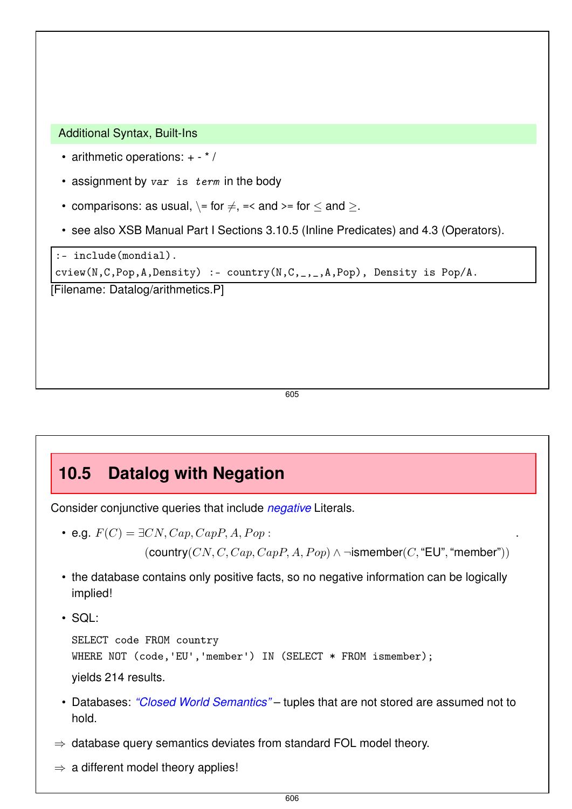Additional Syntax, Built-Ins

- arithmetic operations: + \* /
- $\bullet$  assignment by var is term in the body
- comparisons: as usual,  $\equiv$  for  $\neq$ , =< and >= for  $\leq$  and >.
- see also XSB Manual Part I Sections 3.10.5 (Inline Predicates) and 4.3 (Operators).

```
:- include(mondial).
cview(N,C,Pop,A,Density) :- country(N,C,_,_,A,Pop), Density is Pop/A.
[Filename: Datalog/arithmetics.P]
```
605

## **10.5 Datalog with Negation**

Consider conjunctive queries that include *negative* Literals.

• e.g.  $F(C) = \exists CN, Cap, CapP, A, Pop:$ 

```
(country(CN, C, Cap, CapP, A, Pop) \wedge \negismember(C, "EU", "member"))
```
.

- the database contains only positive facts, so no negative information can be logically implied!
- $\cdot$  SQL:

```
SELECT code FROM country
WHERE NOT (code,'EU','member') IN (SELECT * FROM ismember);
yields 214 results.
```
- Databases: *"Closed World Semantics"* tuples that are not stored are assumed not to hold.
- $\Rightarrow$  database query semantics deviates from standard FOL model theory.
- $\Rightarrow$  a different model theory applies!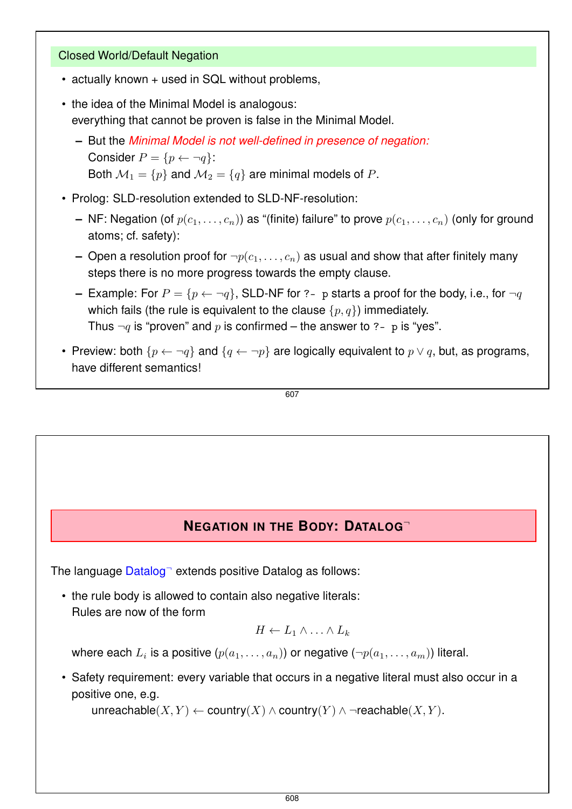## Closed World/Default Negation

- actually known + used in SQL without problems,
- the idea of the Minimal Model is analogous: everything that cannot be proven is false in the Minimal Model.
	- **–** But the *Minimal Model is not well-defined in presence of negation:* Consider  $P = \{p \leftarrow \neg q\}$ : Both  $\mathcal{M}_1 = \{p\}$  and  $\mathcal{M}_2 = \{q\}$  are minimal models of P.
- Prolog: SLD-resolution extended to SLD-NF-resolution:
	- **–** NF: Negation (of  $p(c_1, \ldots, c_n)$ ) as "(finite) failure" to prove  $p(c_1, \ldots, c_n)$  (only for ground atoms; cf. safety):
	- **–** Open a resolution proof for  $\neg p(c_1, \ldots, c_n)$  as usual and show that after finitely many steps there is no more progress towards the empty clause.
	- **–** Example: For  $P = \{p \leftarrow \neg q\}$ , SLD-NF for ?- p starts a proof for the body, i.e., for  $\neg q$ which fails (the rule is equivalent to the clause  $\{p, q\}$ ) immediately. Thus  $\neg q$  is "proven" and p is confirmed – the answer to ?- p is "yes".
- Preview: both  $\{p \leftarrow \neg q\}$  and  $\{q \leftarrow \neg p\}$  are logically equivalent to  $p \vee q$ , but, as programs, have different semantics!

607

## **NEGATION IN THE BODY: DATALOG**<sup>¬</sup>

The language Datalog<sup>-</sup> extends positive Datalog as follows:

• the rule body is allowed to contain also negative literals: Rules are now of the form

$$
H \leftarrow L_1 \wedge \ldots \wedge L_k
$$

where each  $L_i$  is a positive  $(p(a_1, \ldots, a_n))$  or negative  $(\neg p(a_1, \ldots, a_m))$  literal.

• Safety requirement: every variable that occurs in a negative literal must also occur in a positive one, e.g.

unreachable(X, Y)  $\leftarrow$  country(X)  $\wedge$  country(Y)  $\wedge \neg$ reachable(X, Y).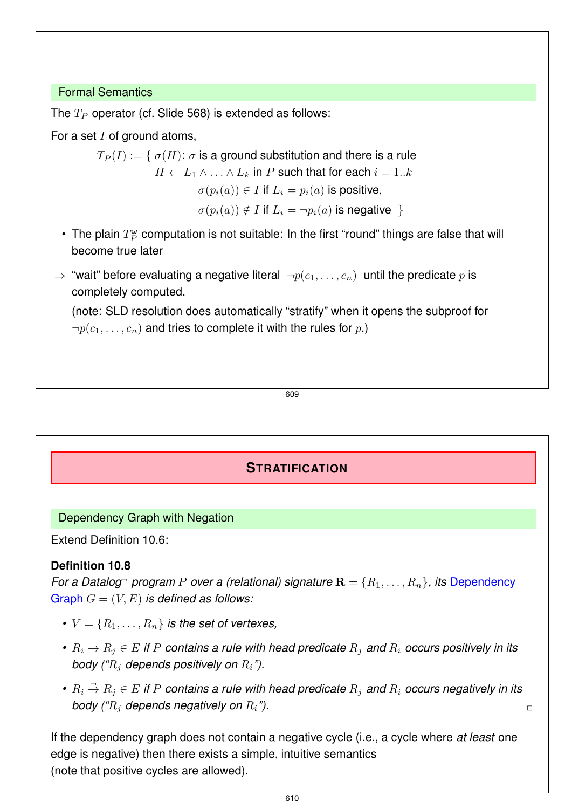## Formal Semantics

The  $T_P$  operator (cf. Slide 568) is extended as follows:

For a set  $I$  of ground atoms,

 $T_P(I) := \{ \sigma(H): \sigma \text{ is a ground substitution and there is a rule } \}$  $H \leftarrow L_1 \wedge \ldots \wedge L_k$  in P such that for each  $i = 1..k$  $\sigma(p_i(\bar{a})) \in I$  if  $L_i = p_i(\bar{a})$  is positive,  $\sigma(p_i(\bar{a})) \notin I$  if  $L_i = \neg p_i(\bar{a})$  is negative }

- The plain  $T_P^\omega$  computation is not suitable: In the first "round" things are false that will become true later
- ⇒ "wait" before evaluating a negative literal  $\neg p(c_1, \ldots, c_n)$  until the predicate p is completely computed.

(note: SLD resolution does automatically "stratify" when it opens the subproof for  $\neg p(c_1, \ldots, c_n)$  and tries to complete it with the rules for p.)

$$
\overline{609}
$$

## **STRATIFICATION**

## Dependency Graph with Negation

Extend Definition 10.6:

## **Definition 10.8**

*For a Datalog program* P *over a (relational) signature*  $\mathbf{R} = \{R_1, \ldots, R_n\}$ , *its* Dependency Graph  $G = (V, E)$  *is defined as follows:* 

- $V = \{R_1, \ldots, R_n\}$  *is the set of vertexes,*
- $R_i \to R_j \in E$  *if* P contains a rule with head predicate  $R_i$  and  $R_i$  occurs positively in its *body ("*R<sup>j</sup> *depends positively on* Ri*").*
- $R_i \stackrel{\neg}{\rightarrow} R_j \in E$  if  $P$  contains a rule with head predicate  $R_j$  and  $R_i$  occurs negatively in its *body ("R<sub>i</sub> depends negatively on*  $R_i$ *").*  $\Box$

If the dependency graph does not contain a negative cycle (i.e., a cycle where *at least* one edge is negative) then there exists a simple, intuitive semantics (note that positive cycles are allowed).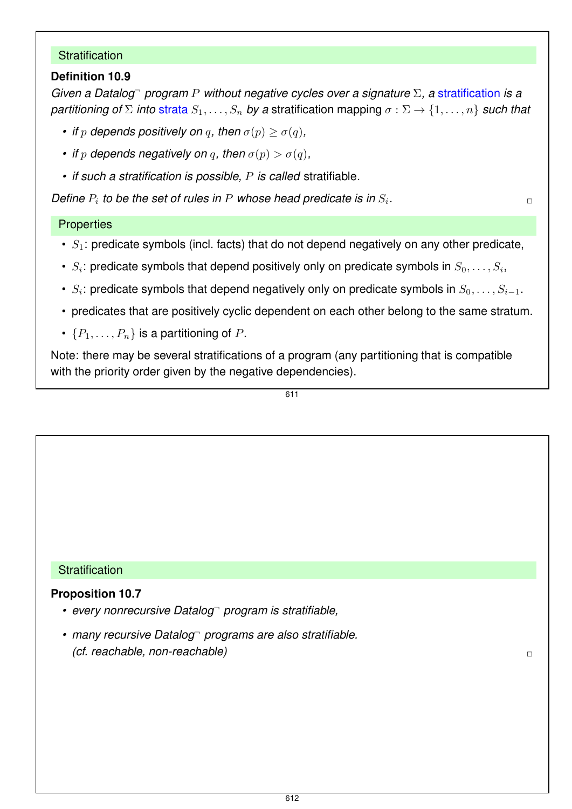### **Stratification**

## **Definition 10.9**

*Given a Datalog*<sup>¬</sup> *program* P *without negative cycles over a signature* Σ*, a* stratification *is a partitioning of*  $\Sigma$  *into strata*  $S_1, \ldots, S_n$  *by a* stratification mapping  $\sigma : \Sigma \to \{1, \ldots, n\}$  *such that* 

- *if*  $p$  *depends positively on*  $q$ *, then*  $\sigma(p) \geq \sigma(q)$ *,*
- *if*  $p$  *depends negatively on*  $q$ *, then*  $\sigma(p) > \sigma(q)$ *,*
- *if such a stratification is possible,* P *is called* stratifiable*.*

Define  $P_i$  to be the set of rules in  $P$  whose head predicate is in  $S_i$ *.* ✷

## **Properties**

- $S_1$ : predicate symbols (incl. facts) that do not depend negatively on any other predicate,
- $S_i$ : predicate symbols that depend positively only on predicate symbols in  $S_0, \ldots, S_i,$
- $S_i$ : predicate symbols that depend negatively only on predicate symbols in  $S_0, \ldots, S_{i-1}.$
- predicates that are positively cyclic dependent on each other belong to the same stratum.
- $\{P_1, \ldots, P_n\}$  is a partitioning of P.

Note: there may be several stratifications of a program (any partitioning that is compatible with the priority order given by the negative dependencies).

611

### **Stratification**

### **Proposition 10.7**

- *every nonrecursive Datalog*¬ *program is stratifiable,*
- *many recursive Datalog*¬ *programs are also stratifiable. (cf. reachable, non-reachable)* ✷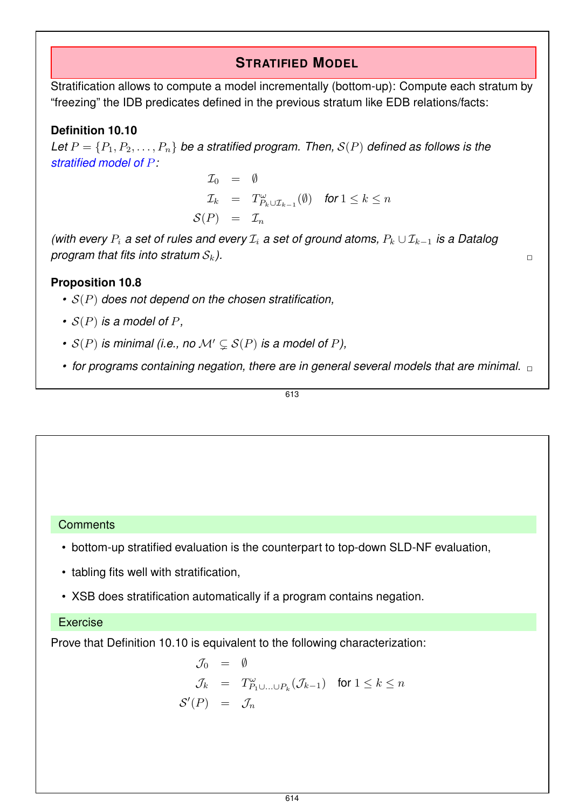## **STRATIFIED MODEL**

Stratification allows to compute a model incrementally (bottom-up): Compute each stratum by "freezing" the IDB predicates defined in the previous stratum like EDB relations/facts:

## **Definition 10.10**

Let  $P = \{P_1, P_2, \ldots, P_n\}$  be a stratified program. Then,  $S(P)$  defined as follows is the *stratified model of* P*:*

$$
T_0 = \emptyset
$$
  
\n
$$
T_k = T_{P_k \cup T_{k-1}}^{\omega}(\emptyset) \text{ for } 1 \leq k \leq n
$$
  
\n
$$
S(P) = T_n
$$

*(with every*  $P_i$  *a set of rules and every*  $\mathcal{I}_i$  *a set of ground atoms,*  $P_k \cup \mathcal{I}_{k-1}$  *is a Datalog*  $\Box$ *program that fits into stratum*  $S_k$ ).

## **Proposition 10.8**

- *•* S(P) *does not depend on the chosen stratification,*
- $\bullet$  *S(P) is a model of P,*
- $S(P)$  *is minimal (i.e., no*  $M' \subseteq S(P)$  *is a model of P),*
- for programs containing negation, there are in general several models that are minimal.  $\Box$

613

## **Comments**

- bottom-up stratified evaluation is the counterpart to top-down SLD-NF evaluation,
- tabling fits well with stratification,
- XSB does stratification automatically if a program contains negation.

### Exercise

Prove that Definition 10.10 is equivalent to the following characterization:

$$
\mathcal{J}_0 = \emptyset
$$
  
\n
$$
\mathcal{J}_k = T_{P_1 \cup \ldots \cup P_k}^{\omega}(\mathcal{J}_{k-1}) \text{ for } 1 \le k \le n
$$
  
\n
$$
\mathcal{S}'(P) = \mathcal{J}_n
$$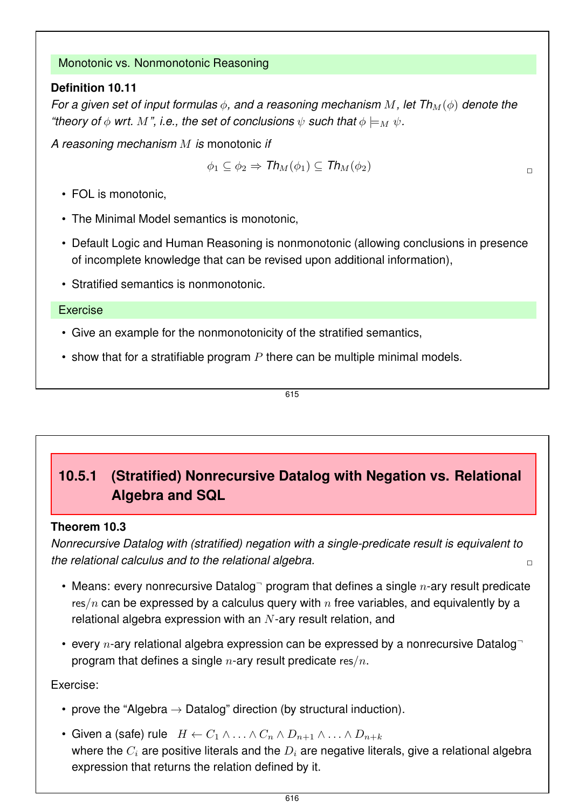## Monotonic vs. Nonmonotonic Reasoning

## **Definition 10.11**

*For a given set of input formulas*  $\phi$ , and a reasoning mechanism M, let  $Th_M(\phi)$  denote the *"theory of*  $\phi$  *wrt.* M", i.e., the set of conclusions  $\psi$  such that  $\phi \models_M \psi$ .

*A reasoning mechanism* M *is* monotonic *if*

$$
\phi_1 \subseteq \phi_2 \Rightarrow \mathit{Th}_M(\phi_1) \subseteq \mathit{Th}_M(\phi_2)
$$

• FOL is monotonic,

- The Minimal Model semantics is monotonic,
- Default Logic and Human Reasoning is nonmonotonic (allowing conclusions in presence of incomplete knowledge that can be revised upon additional information),
- Stratified semantics is nonmonotonic.

#### Exercise

- Give an example for the nonmonotonicity of the stratified semantics,
- show that for a stratifiable program  $P$  there can be multiple minimal models.

615

## **10.5.1 (Stratified) Nonrecursive Datalog with Negation vs. Relational Algebra and SQL**

### **Theorem 10.3**

*Nonrecursive Datalog with (stratified) negation with a single-predicate result is equivalent to the relational calculus and to the relational algebra.* ✷

- Means: every nonrecursive Datalog<sup>-</sup> program that defines a single  $n$ -ary result predicate res/n can be expressed by a calculus query with  $n$  free variables, and equivalently by a relational algebra expression with an  $N$ -ary result relation, and
- every n-ary relational algebra expression can be expressed by a nonrecursive Datalog program that defines a single  $n$ -ary result predicate res/ $n$ .

## Exercise:

- prove the "Algebra  $\rightarrow$  Datalog" direction (by structural induction).
- Given a (safe) rule  $H \leftarrow C_1 \wedge \ldots \wedge C_n \wedge D_{n+1} \wedge \ldots \wedge D_{n+k}$ where the  $C_i$  are positive literals and the  $D_i$  are negative literals, give a relational algebra expression that returns the relation defined by it.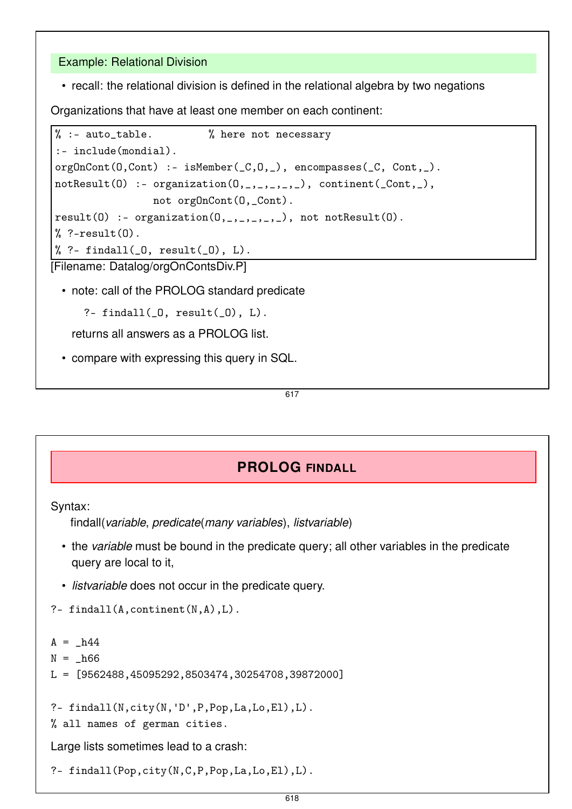## Example: Relational Division

• recall: the relational division is defined in the relational algebra by two negations

Organizations that have at least one member on each continent:

```
% :- auto_table. <br> % here not necessary
:- include(mondial).
orgOnCont(0,Cont) :- isMember(_C, 0, _), encompasses(_C, Cont, _).
notResult(0) :- organization(0,_,_,_,_,]), continent(Cont,_<),
                 not orgOnCont(O,_Cont).
result(0) :- organization(0, 1, 1, 1, 1), not notResult(0).
% ?-result(0).
% ?- findall(0, result(0), L).
[Filename: Datalog/orgOnContsDiv.P]
```
• note: call of the PROLOG standard predicate

?- findall $(0, result(0), L)$ .

returns all answers as a PROLOG list.

• compare with expressing this query in SQL.

617

## **PROLOG FINDALL**

Syntax:

findall(*variable*, *predicate*(*many variables*), *listvariable*)

- the *variable* must be bound in the predicate query; all other variables in the predicate query are local to it,
- *listvariable* does not occur in the predicate query.
- ?- findall $(A,$ continent $(N, A), L$ .

```
A = h44
```

```
N = h66
```
L = [9562488,45095292,8503474,30254708,39872000]

?- findall(N,city(N,'D',P,Pop,La,Lo,El),L).

% all names of german cities.

Large lists sometimes lead to a crash:

```
?- findall(Pop,city(N,C,P,Pop,La,Lo,El),L).
```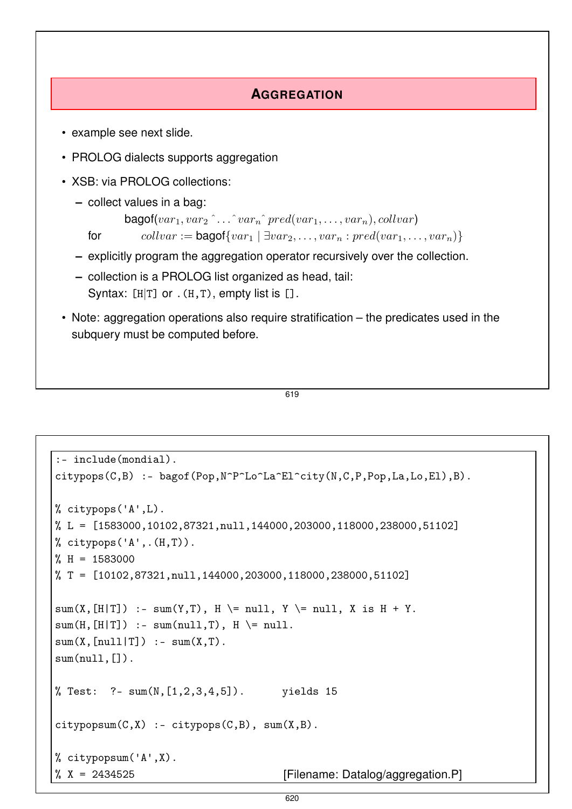## **AGGREGATION**

- example see next slide.
- PROLOG dialects supports aggregation
- XSB: via PROLOG collections:
	- **–** collect values in a bag:

```
bagof(var_1, var_2 \hat{ } \dots \hat{ } var_n \hat{ } pred(var_1, \dots, var_n), collvar)
```

```
for \text{collvar} := \text{bagof}\{var_1 \mid \exists var_2, \ldots, var_n : pred(var_1, \ldots, var_n)\}\
```
- **–** explicitly program the aggregation operator recursively over the collection.
- **–** collection is a PROLOG list organized as head, tail: Syntax:  $[H|T]$  or  $.(H,T)$ , empty list is  $[]$ .
- Note: aggregation operations also require stratification the predicates used in the subquery must be computed before.

```
619
```

```
:- include(mondial).
citypops(C,B) :- bagof(Pop,N^P^Lo^La^El^city(N,C,P,Pop,La,Lo,El),B).
% citypops('A',L).
% L = [1583000,10102,87321,null,144000,203000,118000,238000,51102]
% citypops('A',.(H,T)).
M = 1583000% T = [10102,87321,null,144000,203000,118000,238000,51102]
sum(X, [H|T]) :- sum(Y, T), H \ge null, Y \ge null, X is H + Y.
sum(H, [H|T]) :- sum(null, T), H \ge null.
sum(X, [null|T]) :- sum(X,T).
sum(null.[].
% Test: ?- sum(N,[1,2,3,4,5]). yields 15
citypopsum(C, X) :- citypops(C, B), sum(X, B).
% citypopsum('A',X).
% X = 2434525 [Filename: Datalog/aggregation.P]
```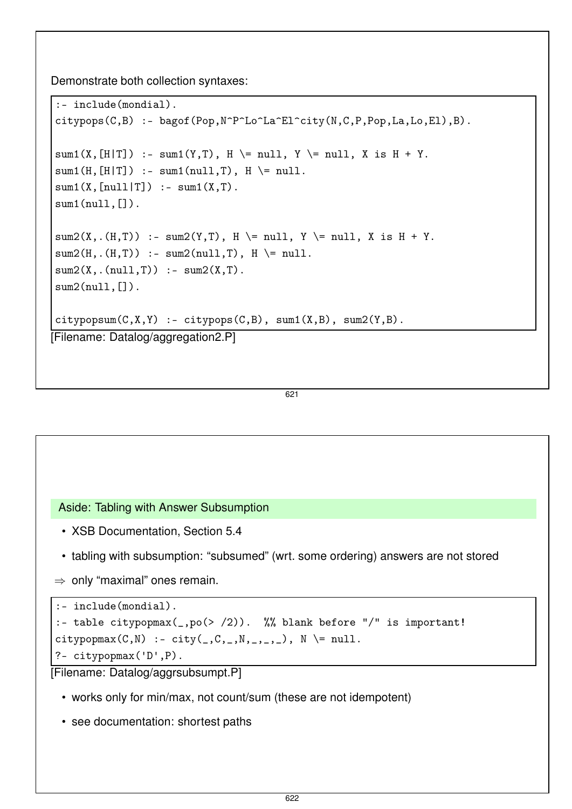Demonstrate both collection syntaxes:

```
:- include(mondial).
citypops(C,B) :- bagof(Pop,N^P^Lo^La^El^city(N,C,P,Pop,La,Lo,El),B).
sum1(X, [H|T]) :- sum1(Y, T), H \ge null, Y \ge null, X is H + Y.
sum1(H, [H|T]) :- sum1(null, T), H \ge null.
sum1(X, [null|T]) :- sum1(X,T).
sum1(null, []).sum2(X, .(H, T)) :- sum2(Y, T), H \ge null, Y \ge null, X is H + Y.
sum2(H, .(H, T)) :- sum2(null, T), H \ge null.
sum2(X, .(null, T)) :- sum2(X, T).
sum2(null, []).
citypopsum(C,X,Y) :- citypops(C,B), sum1(X,B), sum2(Y,B).[Filename: Datalog/aggregation2.P]
```
621

Aside: Tabling with Answer Subsumption

- XSB Documentation, Section 5.4
- tabling with subsumption: "subsumed" (wrt. some ordering) answers are not stored
- $\Rightarrow$  only "maximal" ones remain.

```
:- include(mondial).
:- table citypopmax(_,po(> /2)). %% blank before "/" is important!
citypopmax(C, N) :- city(\_, C, \_, N, \_, \_, \_), N \ge null.
?- citypopmax('D',P).
```
[Filename: Datalog/aggrsubsumpt.P]

- works only for min/max, not count/sum (these are not idempotent)
- see documentation: shortest paths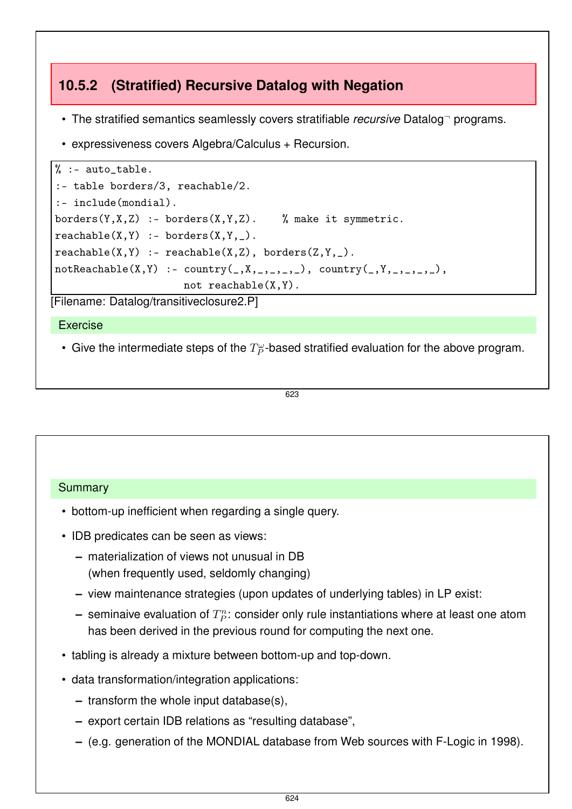## **10.5.2 (Stratified) Recursive Datalog with Negation**

- The stratified semantics seamlessly covers stratifiable *recursive* Datalog<sup>-</sup> programs.
- expressiveness covers Algebra/Calculus + Recursion.

```
\% :- auto_table.
:- table borders/3, reachable/2.
:- include(mondial).
borders(Y,X,Z) :- borders(X,Y,Z). % make it symmetric.
reachable(X, Y) :- borders(X, Y, ...).
reachable(X, Y) :- reachable(X, Z), borders(Z, Y, _).notReachable(X, Y) :- country( , X, _{-}, _{-}, _{-}), country( , Y, _{-}, _{-}, _{-}),
                       not reachable(X,Y).
```
[Filename: Datalog/transitiveclosure2.P]

Exercise

• Give the intermediate steps of the  $T_P^{\omega}$ -based stratified evaluation for the above program.

#### 623

#### Summary

- bottom-up inefficient when regarding a single query.
- IDB predicates can be seen as views:
	- **–** materialization of views not unusual in DB (when frequently used, seldomly changing)
	- **–** view maintenance strategies (upon updates of underlying tables) in LP exist:
	- $-$  seminaive evaluation of  $T_P^n$ : consider only rule instantiations where at least one atom has been derived in the previous round for computing the next one.
- tabling is already a mixture between bottom-up and top-down.
- data transformation/integration applications:
	- **–** transform the whole input database(s),
	- **–** export certain IDB relations as "resulting database",
	- **–** (e.g. generation of the MONDIAL database from Web sources with F-Logic in 1998).